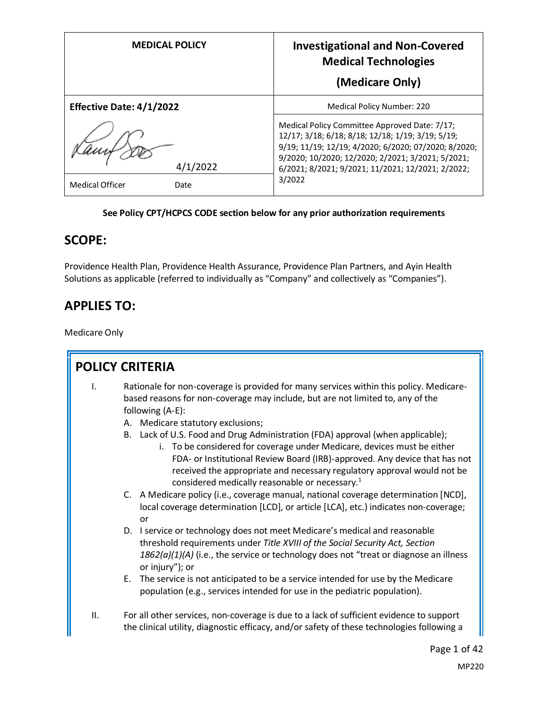| <b>MEDICAL POLICY</b>           | <b>Investigational and Non-Covered</b><br><b>Medical Technologies</b><br>(Medicare Only)                                                                                                                                                                             |
|---------------------------------|----------------------------------------------------------------------------------------------------------------------------------------------------------------------------------------------------------------------------------------------------------------------|
| <b>Effective Date: 4/1/2022</b> | <b>Medical Policy Number: 220</b>                                                                                                                                                                                                                                    |
| 4/1/2022                        | Medical Policy Committee Approved Date: 7/17;<br>12/17; 3/18; 6/18; 8/18; 12/18; 1/19; 3/19; 5/19;<br>9/19; 11/19; 12/19; 4/2020; 6/2020; 07/2020; 8/2020;<br>9/2020; 10/2020; 12/2020; 2/2021; 3/2021; 5/2021;<br>6/2021; 8/2021; 9/2021; 11/2021; 12/2021; 2/2022; |
| <b>Medical Officer</b><br>Date  | 3/2022                                                                                                                                                                                                                                                               |

#### **See Policy CPT/HCPCS CODE section below for any prior authorization requirements**

#### **SCOPE:**

Providence Health Plan, Providence Health Assurance, Providence Plan Partners, and Ayin Health Solutions as applicable (referred to individually as "Company" and collectively as "Companies").

#### **APPLIES TO:**

Medicare Only

Ī.

|                | <b>POLICY CRITERIA</b>                                                                                                                                                                                                                                                                                                                                                                                                                                                                                                                                                                                                |
|----------------|-----------------------------------------------------------------------------------------------------------------------------------------------------------------------------------------------------------------------------------------------------------------------------------------------------------------------------------------------------------------------------------------------------------------------------------------------------------------------------------------------------------------------------------------------------------------------------------------------------------------------|
| $\mathbf{I}$ . | Rationale for non-coverage is provided for many services within this policy. Medicare-<br>based reasons for non-coverage may include, but are not limited to, any of the<br>following (A-E):<br>A. Medicare statutory exclusions;<br>B. Lack of U.S. Food and Drug Administration (FDA) approval (when applicable);<br>i. To be considered for coverage under Medicare, devices must be either<br>FDA- or Institutional Review Board (IRB)-approved. Any device that has not<br>received the appropriate and necessary regulatory approval would not be<br>considered medically reasonable or necessary. <sup>1</sup> |
|                | C. A Medicare policy (i.e., coverage manual, national coverage determination [NCD],<br>local coverage determination [LCD], or article [LCA], etc.) indicates non-coverage;<br>or                                                                                                                                                                                                                                                                                                                                                                                                                                      |
|                | D. I service or technology does not meet Medicare's medical and reasonable<br>threshold requirements under Title XVIII of the Social Security Act, Section<br>$1862(a)(1)(A)$ (i.e., the service or technology does not "treat or diagnose an illness<br>or injury"); or                                                                                                                                                                                                                                                                                                                                              |
|                | E. The service is not anticipated to be a service intended for use by the Medicare<br>population (e.g., services intended for use in the pediatric population).                                                                                                                                                                                                                                                                                                                                                                                                                                                       |
| ΙΙ.            | For all other services, non-coverage is due to a lack of sufficient evidence to support<br>the clinical utility, diagnostic efficacy, and/or safety of these technologies following a                                                                                                                                                                                                                                                                                                                                                                                                                                 |
|                | Page 1 of 42                                                                                                                                                                                                                                                                                                                                                                                                                                                                                                                                                                                                          |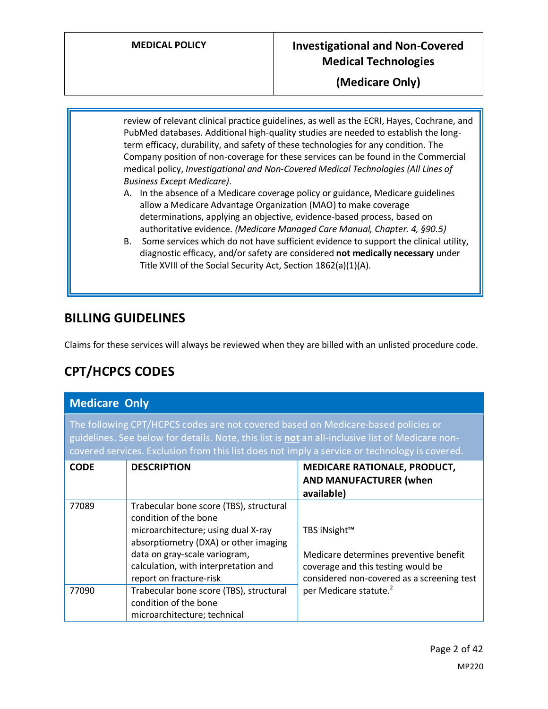**(Medicare Only)**

review of relevant clinical practice guidelines, as well as the ECRI, Hayes, Cochrane, and PubMed databases. Additional high-quality studies are needed to establish the longterm efficacy, durability, and safety of these technologies for any condition. The Company position of non-coverage for these services can be found in the Commercial medical policy, *Investigational and Non-Covered Medical Technologies (All Lines of Business Except Medicare)*.

- A. In the absence of a Medicare coverage policy or guidance, Medicare guidelines allow a Medicare Advantage Organization (MAO) to make coverage determinations, applying an objective, evidence-based process, based on authoritative evidence. *(Medicare Managed Care Manual, Chapter. 4, §90.5)*
- B. Some services which do not have sufficient evidence to support the clinical utility, diagnostic efficacy, and/or safety are considered **not medically necessary** under Title XVIII of the Social Security Act, Section 1862(a)(1)(A).

#### **BILLING GUIDELINES**

Claims for these services will always be reviewed when they are billed with an unlisted procedure code.

#### **CPT/HCPCS CODES**

#### **Medicare Only**

The following CPT/HCPCS codes are not covered based on Medicare-based policies or guidelines. See below for details. Note, this list is **not** an all-inclusive list of Medicare noncovered services. Exclusion from this list does not imply a service or technology is covered.

| <b>CODE</b> | <b>DESCRIPTION</b>                                                                                                                                                                                                                                   | <b>MEDICARE RATIONALE, PRODUCT,</b><br><b>AND MANUFACTURER (when</b><br>available)                                                         |
|-------------|------------------------------------------------------------------------------------------------------------------------------------------------------------------------------------------------------------------------------------------------------|--------------------------------------------------------------------------------------------------------------------------------------------|
| 77089       | Trabecular bone score (TBS), structural<br>condition of the bone<br>microarchitecture; using dual X-ray<br>absorptiometry (DXA) or other imaging<br>data on gray-scale variogram,<br>calculation, with interpretation and<br>report on fracture-risk | TBS iNsight™<br>Medicare determines preventive benefit<br>coverage and this testing would be<br>considered non-covered as a screening test |
| 77090       | Trabecular bone score (TBS), structural<br>condition of the bone<br>microarchitecture; technical                                                                                                                                                     | per Medicare statute. <sup>2</sup>                                                                                                         |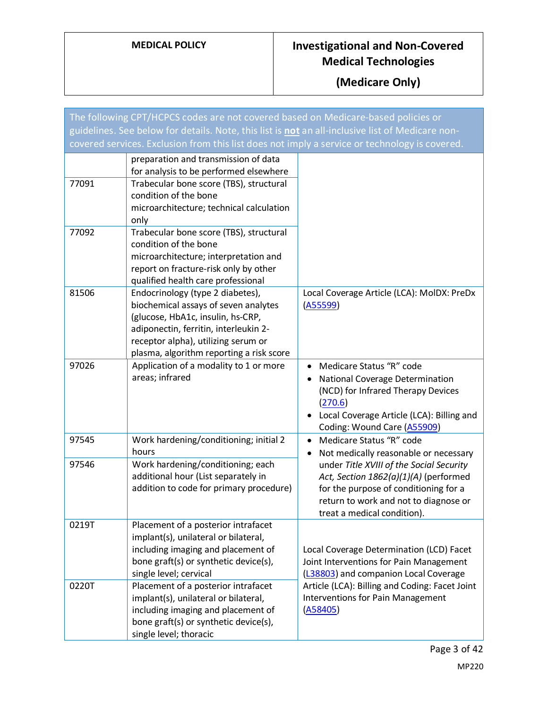| The following CPT/HCPCS codes are not covered based on Medicare-based policies or                |                                                                                                                                                                                                                                           |                                                                                                                                                                                                       |
|--------------------------------------------------------------------------------------------------|-------------------------------------------------------------------------------------------------------------------------------------------------------------------------------------------------------------------------------------------|-------------------------------------------------------------------------------------------------------------------------------------------------------------------------------------------------------|
| guidelines. See below for details. Note, this list is not an all-inclusive list of Medicare non- |                                                                                                                                                                                                                                           |                                                                                                                                                                                                       |
| covered services. Exclusion from this list does not imply a service or technology is covered.    |                                                                                                                                                                                                                                           |                                                                                                                                                                                                       |
| 77091                                                                                            | preparation and transmission of data<br>for analysis to be performed elsewhere<br>Trabecular bone score (TBS), structural<br>condition of the bone<br>microarchitecture; technical calculation<br>only                                    |                                                                                                                                                                                                       |
| 77092                                                                                            | Trabecular bone score (TBS), structural<br>condition of the bone<br>microarchitecture; interpretation and<br>report on fracture-risk only by other<br>qualified health care professional                                                  |                                                                                                                                                                                                       |
| 81506                                                                                            | Endocrinology (type 2 diabetes),<br>biochemical assays of seven analytes<br>(glucose, HbA1c, insulin, hs-CRP,<br>adiponectin, ferritin, interleukin 2-<br>receptor alpha), utilizing serum or<br>plasma, algorithm reporting a risk score | Local Coverage Article (LCA): MolDX: PreDx<br>(A55599)                                                                                                                                                |
| 97026                                                                                            | Application of a modality to 1 or more<br>areas; infrared                                                                                                                                                                                 | Medicare Status "R" code<br>$\bullet$<br>National Coverage Determination<br>(NCD) for Infrared Therapy Devices<br>(270.6)<br>Local Coverage Article (LCA): Billing and<br>Coding: Wound Care (A55909) |
| 97545                                                                                            | Work hardening/conditioning; initial 2<br>hours                                                                                                                                                                                           | Medicare Status "R" code<br>Not medically reasonable or necessary<br>٠                                                                                                                                |
| 97546                                                                                            | Work hardening/conditioning; each<br>additional hour (List separately in<br>addition to code for primary procedure)                                                                                                                       | under Title XVIII of the Social Security<br>Act, Section 1862(a)(1)(A) (performed<br>for the purpose of conditioning for a<br>return to work and not to diagnose or<br>treat a medical condition).    |
| 0219T                                                                                            | Placement of a posterior intrafacet<br>implant(s), unilateral or bilateral,<br>including imaging and placement of<br>bone graft(s) or synthetic device(s),<br>single level; cervical                                                      | Local Coverage Determination (LCD) Facet<br>Joint Interventions for Pain Management<br>(L38803) and companion Local Coverage                                                                          |
| 0220T                                                                                            | Placement of a posterior intrafacet<br>implant(s), unilateral or bilateral,<br>including imaging and placement of<br>bone graft(s) or synthetic device(s),<br>single level; thoracic                                                      | Article (LCA): Billing and Coding: Facet Joint<br><b>Interventions for Pain Management</b><br>(A58405)                                                                                                |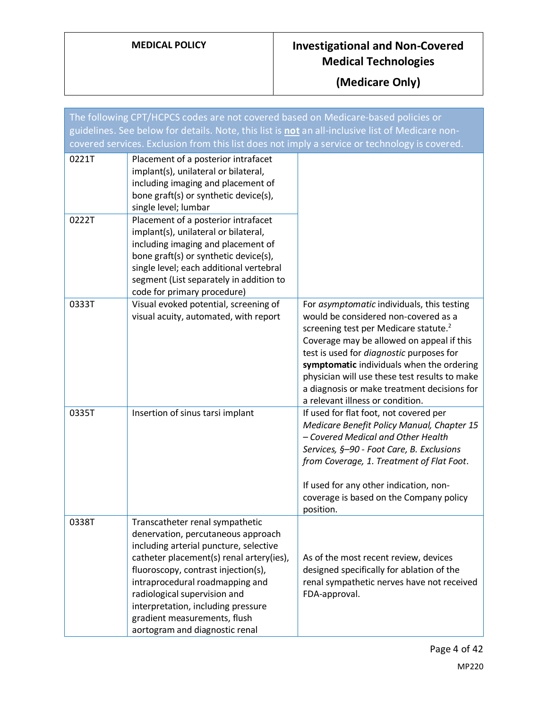| The following CPT/HCPCS codes are not covered based on Medicare-based policies or                |                                                                                                                                                                                                                                                                                                                                                                               |                                                                                                                                                                                                                                                                                                                                                                                                                          |
|--------------------------------------------------------------------------------------------------|-------------------------------------------------------------------------------------------------------------------------------------------------------------------------------------------------------------------------------------------------------------------------------------------------------------------------------------------------------------------------------|--------------------------------------------------------------------------------------------------------------------------------------------------------------------------------------------------------------------------------------------------------------------------------------------------------------------------------------------------------------------------------------------------------------------------|
| guidelines. See below for details. Note, this list is not an all-inclusive list of Medicare non- |                                                                                                                                                                                                                                                                                                                                                                               |                                                                                                                                                                                                                                                                                                                                                                                                                          |
| covered services. Exclusion from this list does not imply a service or technology is covered.    |                                                                                                                                                                                                                                                                                                                                                                               |                                                                                                                                                                                                                                                                                                                                                                                                                          |
| 0221T                                                                                            | Placement of a posterior intrafacet<br>implant(s), unilateral or bilateral,<br>including imaging and placement of<br>bone graft(s) or synthetic device(s),<br>single level; lumbar                                                                                                                                                                                            |                                                                                                                                                                                                                                                                                                                                                                                                                          |
| 0222T                                                                                            | Placement of a posterior intrafacet<br>implant(s), unilateral or bilateral,<br>including imaging and placement of<br>bone graft(s) or synthetic device(s),<br>single level; each additional vertebral<br>segment (List separately in addition to<br>code for primary procedure)                                                                                               |                                                                                                                                                                                                                                                                                                                                                                                                                          |
| 0333T                                                                                            | Visual evoked potential, screening of<br>visual acuity, automated, with report                                                                                                                                                                                                                                                                                                | For asymptomatic individuals, this testing<br>would be considered non-covered as a<br>screening test per Medicare statute. <sup>2</sup><br>Coverage may be allowed on appeal if this<br>test is used for <i>diagnostic</i> purposes for<br>symptomatic individuals when the ordering<br>physician will use these test results to make<br>a diagnosis or make treatment decisions for<br>a relevant illness or condition. |
| 0335T                                                                                            | Insertion of sinus tarsi implant                                                                                                                                                                                                                                                                                                                                              | If used for flat foot, not covered per<br>Medicare Benefit Policy Manual, Chapter 15<br>- Covered Medical and Other Health<br>Services, §-90 - Foot Care, B. Exclusions<br>from Coverage, 1. Treatment of Flat Foot.<br>If used for any other indication, non-<br>coverage is based on the Company policy<br>position.                                                                                                   |
| 0338T                                                                                            | Transcatheter renal sympathetic<br>denervation, percutaneous approach<br>including arterial puncture, selective<br>catheter placement(s) renal artery(ies),<br>fluoroscopy, contrast injection(s),<br>intraprocedural roadmapping and<br>radiological supervision and<br>interpretation, including pressure<br>gradient measurements, flush<br>aortogram and diagnostic renal | As of the most recent review, devices<br>designed specifically for ablation of the<br>renal sympathetic nerves have not received<br>FDA-approval.                                                                                                                                                                                                                                                                        |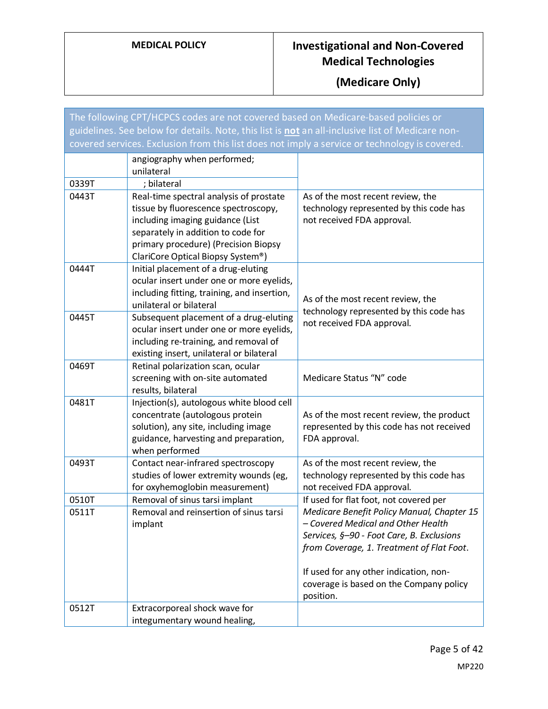| The following CPT/HCPCS codes are not covered based on Medicare-based policies or                |                                                                                                                                                                                                                                        |                                                                                                                                                                                                                                                                              |
|--------------------------------------------------------------------------------------------------|----------------------------------------------------------------------------------------------------------------------------------------------------------------------------------------------------------------------------------------|------------------------------------------------------------------------------------------------------------------------------------------------------------------------------------------------------------------------------------------------------------------------------|
| guidelines. See below for details. Note, this list is not an all-inclusive list of Medicare non- |                                                                                                                                                                                                                                        |                                                                                                                                                                                                                                                                              |
| covered services. Exclusion from this list does not imply a service or technology is covered.    |                                                                                                                                                                                                                                        |                                                                                                                                                                                                                                                                              |
|                                                                                                  | angiography when performed;<br>unilateral                                                                                                                                                                                              |                                                                                                                                                                                                                                                                              |
| 0339T                                                                                            | ; bilateral                                                                                                                                                                                                                            |                                                                                                                                                                                                                                                                              |
| 0443T                                                                                            | Real-time spectral analysis of prostate<br>tissue by fluorescence spectroscopy,<br>including imaging guidance (List<br>separately in addition to code for<br>primary procedure) (Precision Biopsy<br>ClariCore Optical Biopsy System®) | As of the most recent review, the<br>technology represented by this code has<br>not received FDA approval.                                                                                                                                                                   |
| 0444T                                                                                            | Initial placement of a drug-eluting<br>ocular insert under one or more eyelids,<br>including fitting, training, and insertion,<br>unilateral or bilateral                                                                              | As of the most recent review, the<br>technology represented by this code has                                                                                                                                                                                                 |
| 0445T                                                                                            | Subsequent placement of a drug-eluting<br>ocular insert under one or more eyelids,<br>including re-training, and removal of<br>existing insert, unilateral or bilateral                                                                | not received FDA approval.                                                                                                                                                                                                                                                   |
| 0469T                                                                                            | Retinal polarization scan, ocular<br>screening with on-site automated<br>results, bilateral                                                                                                                                            | Medicare Status "N" code                                                                                                                                                                                                                                                     |
| 0481T                                                                                            | Injection(s), autologous white blood cell<br>concentrate (autologous protein<br>solution), any site, including image<br>guidance, harvesting and preparation,<br>when performed                                                        | As of the most recent review, the product<br>represented by this code has not received<br>FDA approval.                                                                                                                                                                      |
| 0493T                                                                                            | Contact near-infrared spectroscopy<br>studies of lower extremity wounds (eg,<br>for oxyhemoglobin measurement)                                                                                                                         | As of the most recent review, the<br>technology represented by this code has<br>not received FDA approval.                                                                                                                                                                   |
| 0510T                                                                                            | Removal of sinus tarsi implant                                                                                                                                                                                                         | If used for flat foot, not covered per                                                                                                                                                                                                                                       |
| 0511T                                                                                            | Removal and reinsertion of sinus tarsi<br>implant                                                                                                                                                                                      | Medicare Benefit Policy Manual, Chapter 15<br>- Covered Medical and Other Health<br>Services, §-90 - Foot Care, B. Exclusions<br>from Coverage, 1. Treatment of Flat Foot.<br>If used for any other indication, non-<br>coverage is based on the Company policy<br>position. |
| 0512T                                                                                            | Extracorporeal shock wave for<br>integumentary wound healing,                                                                                                                                                                          |                                                                                                                                                                                                                                                                              |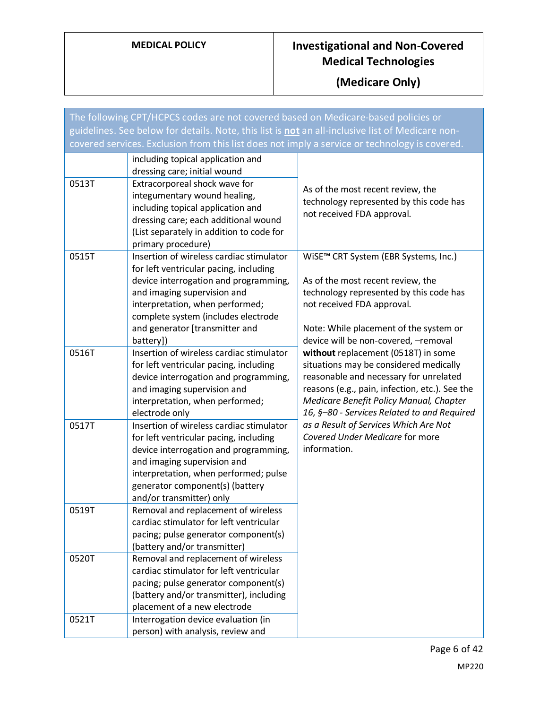| The following CPT/HCPCS codes are not covered based on Medicare-based policies or<br>guidelines. See below for details. Note, this list is not an all-inclusive list of Medicare non-<br>covered services. Exclusion from this list does not imply a service or technology is covered. |                                                                                                                                                                                                                                                                                     |                                                                                                                                                                                                                                                                     |
|----------------------------------------------------------------------------------------------------------------------------------------------------------------------------------------------------------------------------------------------------------------------------------------|-------------------------------------------------------------------------------------------------------------------------------------------------------------------------------------------------------------------------------------------------------------------------------------|---------------------------------------------------------------------------------------------------------------------------------------------------------------------------------------------------------------------------------------------------------------------|
| 0513T                                                                                                                                                                                                                                                                                  | including topical application and<br>dressing care; initial wound<br>Extracorporeal shock wave for<br>integumentary wound healing,<br>including topical application and<br>dressing care; each additional wound<br>(List separately in addition to code for<br>primary procedure)   | As of the most recent review, the<br>technology represented by this code has<br>not received FDA approval.                                                                                                                                                          |
| 0515T                                                                                                                                                                                                                                                                                  | Insertion of wireless cardiac stimulator<br>for left ventricular pacing, including<br>device interrogation and programming,<br>and imaging supervision and<br>interpretation, when performed;<br>complete system (includes electrode<br>and generator [transmitter and<br>battery]) | WiSE™ CRT System (EBR Systems, Inc.)<br>As of the most recent review, the<br>technology represented by this code has<br>not received FDA approval.<br>Note: While placement of the system or<br>device will be non-covered, -removal                                |
| 0516T                                                                                                                                                                                                                                                                                  | Insertion of wireless cardiac stimulator<br>for left ventricular pacing, including<br>device interrogation and programming,<br>and imaging supervision and<br>interpretation, when performed;<br>electrode only                                                                     | without replacement (0518T) in some<br>situations may be considered medically<br>reasonable and necessary for unrelated<br>reasons (e.g., pain, infection, etc.). See the<br>Medicare Benefit Policy Manual, Chapter<br>16, §-80 - Services Related to and Required |
| 0517T                                                                                                                                                                                                                                                                                  | Insertion of wireless cardiac stimulator<br>for left ventricular pacing, including<br>device interrogation and programming,<br>and imaging supervision and<br>interpretation, when performed; pulse<br>generator component(s) (battery<br>and/or transmitter) only                  | as a Result of Services Which Are Not<br>Covered Under Medicare for more<br>information.                                                                                                                                                                            |
| 0519T                                                                                                                                                                                                                                                                                  | Removal and replacement of wireless<br>cardiac stimulator for left ventricular<br>pacing; pulse generator component(s)<br>(battery and/or transmitter)                                                                                                                              |                                                                                                                                                                                                                                                                     |
| 0520T                                                                                                                                                                                                                                                                                  | Removal and replacement of wireless<br>cardiac stimulator for left ventricular<br>pacing; pulse generator component(s)<br>(battery and/or transmitter), including<br>placement of a new electrode                                                                                   |                                                                                                                                                                                                                                                                     |
| 0521T                                                                                                                                                                                                                                                                                  | Interrogation device evaluation (in<br>person) with analysis, review and                                                                                                                                                                                                            |                                                                                                                                                                                                                                                                     |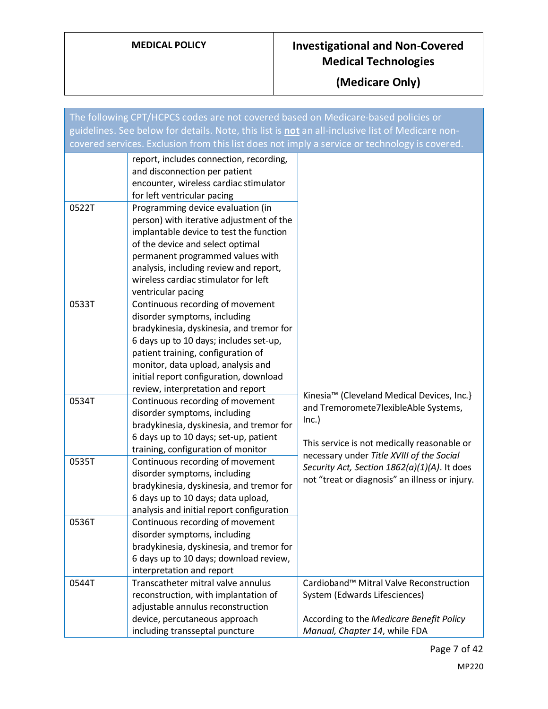| The following CPT/HCPCS codes are not covered based on Medicare-based policies or                |                                                                                                                                                                                                                                                                                                                   |                                                                                                                                                                                         |
|--------------------------------------------------------------------------------------------------|-------------------------------------------------------------------------------------------------------------------------------------------------------------------------------------------------------------------------------------------------------------------------------------------------------------------|-----------------------------------------------------------------------------------------------------------------------------------------------------------------------------------------|
| guidelines. See below for details. Note, this list is not an all-inclusive list of Medicare non- |                                                                                                                                                                                                                                                                                                                   |                                                                                                                                                                                         |
| covered services. Exclusion from this list does not imply a service or technology is covered.    |                                                                                                                                                                                                                                                                                                                   |                                                                                                                                                                                         |
|                                                                                                  | report, includes connection, recording,<br>and disconnection per patient<br>encounter, wireless cardiac stimulator<br>for left ventricular pacing                                                                                                                                                                 |                                                                                                                                                                                         |
| 0522T                                                                                            | Programming device evaluation (in<br>person) with iterative adjustment of the<br>implantable device to test the function<br>of the device and select optimal<br>permanent programmed values with<br>analysis, including review and report,<br>wireless cardiac stimulator for left<br>ventricular pacing          |                                                                                                                                                                                         |
| 0533T                                                                                            | Continuous recording of movement<br>disorder symptoms, including<br>bradykinesia, dyskinesia, and tremor for<br>6 days up to 10 days; includes set-up,<br>patient training, configuration of<br>monitor, data upload, analysis and<br>initial report configuration, download<br>review, interpretation and report |                                                                                                                                                                                         |
| 0534T                                                                                            | Continuous recording of movement<br>disorder symptoms, including<br>bradykinesia, dyskinesia, and tremor for<br>6 days up to 10 days; set-up, patient<br>training, configuration of monitor                                                                                                                       | Kinesia™ (Cleveland Medical Devices, Inc.}<br>and Tremoromete7lexibleAble Systems,<br>Inc.)<br>This service is not medically reasonable or<br>necessary under Title XVIII of the Social |
| 0535T                                                                                            | Continuous recording of movement<br>disorder symptoms, including<br>bradykinesia, dyskinesia, and tremor for<br>6 days up to 10 days; data upload,<br>analysis and initial report configuration                                                                                                                   | Security Act, Section 1862(a)(1)(A). It does<br>not "treat or diagnosis" an illness or injury.                                                                                          |
| 0536T                                                                                            | Continuous recording of movement<br>disorder symptoms, including<br>bradykinesia, dyskinesia, and tremor for<br>6 days up to 10 days; download review,<br>interpretation and report                                                                                                                               |                                                                                                                                                                                         |
| 0544T                                                                                            | Transcatheter mitral valve annulus<br>reconstruction, with implantation of<br>adjustable annulus reconstruction<br>device, percutaneous approach                                                                                                                                                                  | Cardioband™ Mitral Valve Reconstruction<br>System (Edwards Lifesciences)<br>According to the Medicare Benefit Policy                                                                    |
|                                                                                                  | including transseptal puncture                                                                                                                                                                                                                                                                                    | Manual, Chapter 14, while FDA                                                                                                                                                           |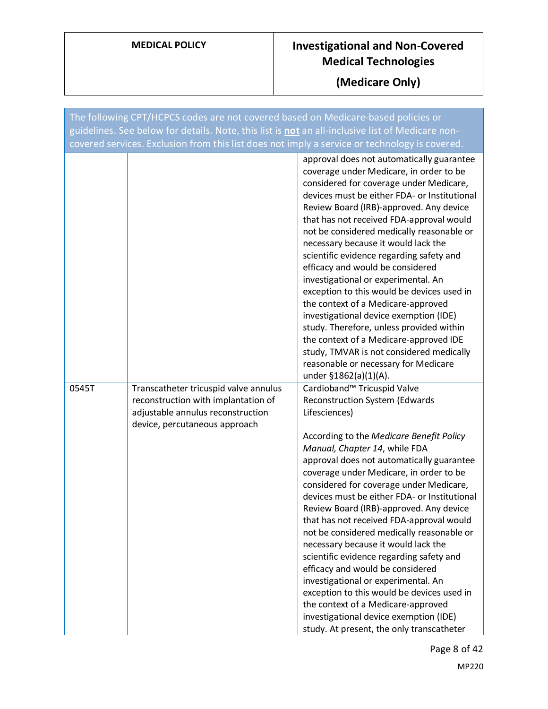| The following CPT/HCPCS codes are not covered based on Medicare-based policies or<br>guidelines. See below for details. Note, this list is not an all-inclusive list of Medicare non-<br>covered services. Exclusion from this list does not imply a service or technology is covered. |                                                                                                                                                    |                                                                                                                                                                                                                                                                                                                                                                                                                                                                                                                                                                                                                                                                                                                                                                                                                             |
|----------------------------------------------------------------------------------------------------------------------------------------------------------------------------------------------------------------------------------------------------------------------------------------|----------------------------------------------------------------------------------------------------------------------------------------------------|-----------------------------------------------------------------------------------------------------------------------------------------------------------------------------------------------------------------------------------------------------------------------------------------------------------------------------------------------------------------------------------------------------------------------------------------------------------------------------------------------------------------------------------------------------------------------------------------------------------------------------------------------------------------------------------------------------------------------------------------------------------------------------------------------------------------------------|
|                                                                                                                                                                                                                                                                                        |                                                                                                                                                    | approval does not automatically guarantee<br>coverage under Medicare, in order to be<br>considered for coverage under Medicare,<br>devices must be either FDA- or Institutional<br>Review Board (IRB)-approved. Any device<br>that has not received FDA-approval would<br>not be considered medically reasonable or<br>necessary because it would lack the<br>scientific evidence regarding safety and<br>efficacy and would be considered<br>investigational or experimental. An<br>exception to this would be devices used in<br>the context of a Medicare-approved<br>investigational device exemption (IDE)<br>study. Therefore, unless provided within<br>the context of a Medicare-approved IDE<br>study, TMVAR is not considered medically<br>reasonable or necessary for Medicare<br>under §1862(a)(1)(A).          |
| 0545T                                                                                                                                                                                                                                                                                  | Transcatheter tricuspid valve annulus<br>reconstruction with implantation of<br>adjustable annulus reconstruction<br>device, percutaneous approach | Cardioband™ Tricuspid Valve<br>Reconstruction System (Edwards<br>Lifesciences)<br>According to the Medicare Benefit Policy<br>Manual, Chapter 14, while FDA<br>approval does not automatically guarantee<br>coverage under Medicare, in order to be<br>considered for coverage under Medicare,<br>devices must be either FDA- or Institutional<br>Review Board (IRB)-approved. Any device<br>that has not received FDA-approval would<br>not be considered medically reasonable or<br>necessary because it would lack the<br>scientific evidence regarding safety and<br>efficacy and would be considered<br>investigational or experimental. An<br>exception to this would be devices used in<br>the context of a Medicare-approved<br>investigational device exemption (IDE)<br>study. At present, the only transcatheter |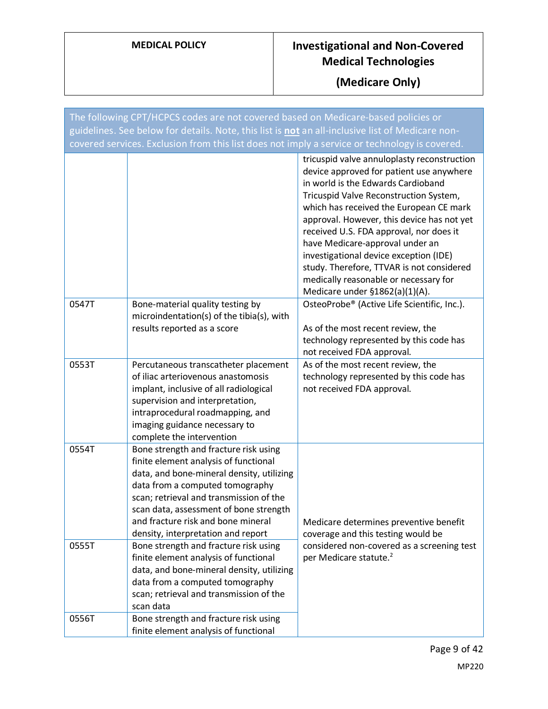| The following CPT/HCPCS codes are not covered based on Medicare-based policies or                |                                                                                                                                                                                                                                                                                                                                 |                                                                                                                                                                                                                                                                                                                                                                                                                                                                                                                  |
|--------------------------------------------------------------------------------------------------|---------------------------------------------------------------------------------------------------------------------------------------------------------------------------------------------------------------------------------------------------------------------------------------------------------------------------------|------------------------------------------------------------------------------------------------------------------------------------------------------------------------------------------------------------------------------------------------------------------------------------------------------------------------------------------------------------------------------------------------------------------------------------------------------------------------------------------------------------------|
| guidelines. See below for details. Note, this list is not an all-inclusive list of Medicare non- |                                                                                                                                                                                                                                                                                                                                 |                                                                                                                                                                                                                                                                                                                                                                                                                                                                                                                  |
| covered services. Exclusion from this list does not imply a service or technology is covered.    |                                                                                                                                                                                                                                                                                                                                 |                                                                                                                                                                                                                                                                                                                                                                                                                                                                                                                  |
|                                                                                                  |                                                                                                                                                                                                                                                                                                                                 | tricuspid valve annuloplasty reconstruction<br>device approved for patient use anywhere<br>in world is the Edwards Cardioband<br>Tricuspid Valve Reconstruction System,<br>which has received the European CE mark<br>approval. However, this device has not yet<br>received U.S. FDA approval, nor does it<br>have Medicare-approval under an<br>investigational device exception (IDE)<br>study. Therefore, TTVAR is not considered<br>medically reasonable or necessary for<br>Medicare under §1862(a)(1)(A). |
| 0547T                                                                                            | Bone-material quality testing by                                                                                                                                                                                                                                                                                                | OsteoProbe® (Active Life Scientific, Inc.).                                                                                                                                                                                                                                                                                                                                                                                                                                                                      |
|                                                                                                  | microindentation(s) of the tibia(s), with<br>results reported as a score                                                                                                                                                                                                                                                        | As of the most recent review, the<br>technology represented by this code has<br>not received FDA approval.                                                                                                                                                                                                                                                                                                                                                                                                       |
| 0553T                                                                                            | Percutaneous transcatheter placement<br>of iliac arteriovenous anastomosis<br>implant, inclusive of all radiological<br>supervision and interpretation,<br>intraprocedural roadmapping, and<br>imaging guidance necessary to<br>complete the intervention                                                                       | As of the most recent review, the<br>technology represented by this code has<br>not received FDA approval.                                                                                                                                                                                                                                                                                                                                                                                                       |
| 0554T                                                                                            | Bone strength and fracture risk using<br>finite element analysis of functional<br>data, and bone-mineral density, utilizing<br>data from a computed tomography<br>scan; retrieval and transmission of the<br>scan data, assessment of bone strength<br>and fracture risk and bone mineral<br>density, interpretation and report | Medicare determines preventive benefit<br>coverage and this testing would be                                                                                                                                                                                                                                                                                                                                                                                                                                     |
| 0555T                                                                                            | Bone strength and fracture risk using<br>finite element analysis of functional<br>data, and bone-mineral density, utilizing<br>data from a computed tomography<br>scan; retrieval and transmission of the<br>scan data                                                                                                          | considered non-covered as a screening test<br>per Medicare statute. <sup>2</sup>                                                                                                                                                                                                                                                                                                                                                                                                                                 |
| 0556T                                                                                            | Bone strength and fracture risk using<br>finite element analysis of functional                                                                                                                                                                                                                                                  |                                                                                                                                                                                                                                                                                                                                                                                                                                                                                                                  |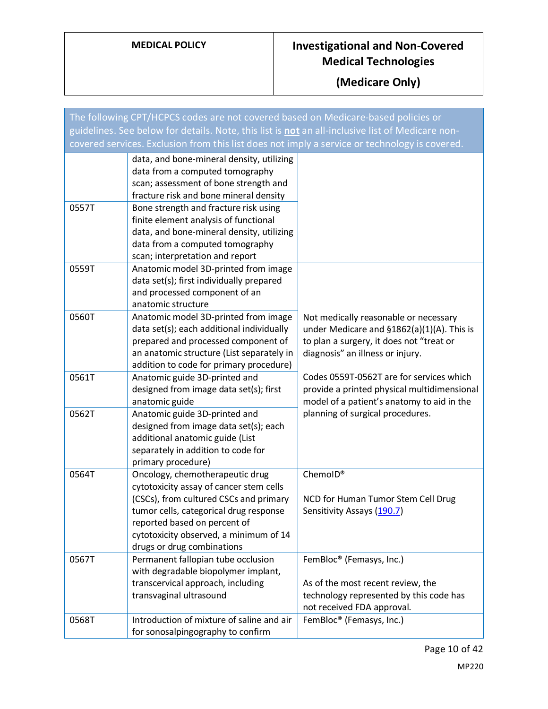| The following CPT/HCPCS codes are not covered based on Medicare-based policies or                |                                                                                                                                                                                                                                                                        |                                                                                                                                                                     |
|--------------------------------------------------------------------------------------------------|------------------------------------------------------------------------------------------------------------------------------------------------------------------------------------------------------------------------------------------------------------------------|---------------------------------------------------------------------------------------------------------------------------------------------------------------------|
| guidelines. See below for details. Note, this list is not an all-inclusive list of Medicare non- |                                                                                                                                                                                                                                                                        |                                                                                                                                                                     |
| covered services. Exclusion from this list does not imply a service or technology is covered.    |                                                                                                                                                                                                                                                                        |                                                                                                                                                                     |
|                                                                                                  | data, and bone-mineral density, utilizing<br>data from a computed tomography<br>scan; assessment of bone strength and<br>fracture risk and bone mineral density                                                                                                        |                                                                                                                                                                     |
| 0557T                                                                                            | Bone strength and fracture risk using<br>finite element analysis of functional<br>data, and bone-mineral density, utilizing<br>data from a computed tomography<br>scan; interpretation and report                                                                      |                                                                                                                                                                     |
| 0559T                                                                                            | Anatomic model 3D-printed from image<br>data set(s); first individually prepared<br>and processed component of an<br>anatomic structure                                                                                                                                |                                                                                                                                                                     |
| 0560T                                                                                            | Anatomic model 3D-printed from image<br>data set(s); each additional individually<br>prepared and processed component of<br>an anatomic structure (List separately in<br>addition to code for primary procedure)                                                       | Not medically reasonable or necessary<br>under Medicare and §1862(a)(1)(A). This is<br>to plan a surgery, it does not "treat or<br>diagnosis" an illness or injury. |
| 0561T                                                                                            | Anatomic guide 3D-printed and<br>designed from image data set(s); first<br>anatomic guide                                                                                                                                                                              | Codes 0559T-0562T are for services which<br>provide a printed physical multidimensional<br>model of a patient's anatomy to aid in the                               |
| 0562T                                                                                            | Anatomic guide 3D-printed and<br>designed from image data set(s); each<br>additional anatomic guide (List<br>separately in addition to code for<br>primary procedure)                                                                                                  | planning of surgical procedures.                                                                                                                                    |
| 0564T                                                                                            | Oncology, chemotherapeutic drug<br>cytotoxicity assay of cancer stem cells<br>(CSCs), from cultured CSCs and primary<br>tumor cells, categorical drug response<br>reported based on percent of<br>cytotoxicity observed, a minimum of 14<br>drugs or drug combinations | ChemoID®<br>NCD for Human Tumor Stem Cell Drug<br>Sensitivity Assays (190.7)                                                                                        |
| 0567T                                                                                            | Permanent fallopian tube occlusion<br>with degradable biopolymer implant,<br>transcervical approach, including<br>transvaginal ultrasound                                                                                                                              | FemBloc <sup>®</sup> (Femasys, Inc.)<br>As of the most recent review, the<br>technology represented by this code has<br>not received FDA approval.                  |
| 0568T                                                                                            | Introduction of mixture of saline and air<br>for sonosalpingography to confirm                                                                                                                                                                                         | FemBloc <sup>®</sup> (Femasys, Inc.)                                                                                                                                |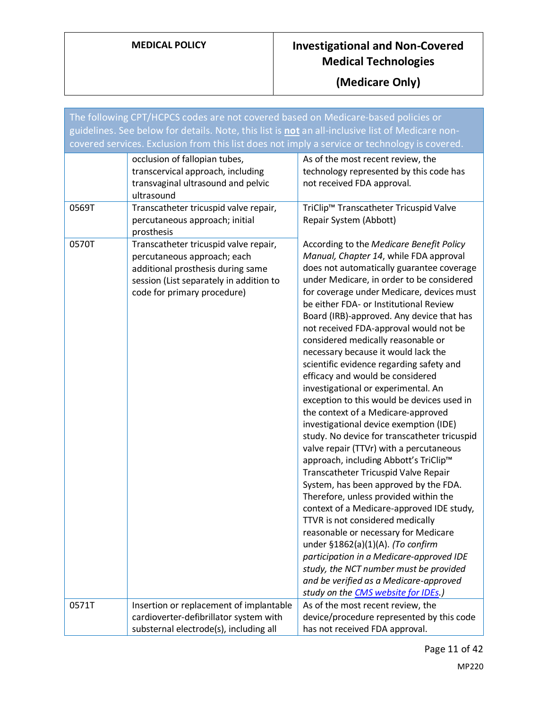| The following CPT/HCPCS codes are not covered based on Medicare-based policies or<br>guidelines. See below for details. Note, this list is not an all-inclusive list of Medicare non-<br>covered services. Exclusion from this list does not imply a service or technology is covered. |                                                                                                                                                                                     |                                                                                                                                                                                                                                                                                                                                                                                                                                                                                                                                                                                                                                                                                                                                                                                                                                                                                                                                                                                                                                                                                                                                                                                                                                                                                                 |
|----------------------------------------------------------------------------------------------------------------------------------------------------------------------------------------------------------------------------------------------------------------------------------------|-------------------------------------------------------------------------------------------------------------------------------------------------------------------------------------|-------------------------------------------------------------------------------------------------------------------------------------------------------------------------------------------------------------------------------------------------------------------------------------------------------------------------------------------------------------------------------------------------------------------------------------------------------------------------------------------------------------------------------------------------------------------------------------------------------------------------------------------------------------------------------------------------------------------------------------------------------------------------------------------------------------------------------------------------------------------------------------------------------------------------------------------------------------------------------------------------------------------------------------------------------------------------------------------------------------------------------------------------------------------------------------------------------------------------------------------------------------------------------------------------|
|                                                                                                                                                                                                                                                                                        | occlusion of fallopian tubes,<br>transcervical approach, including<br>transvaginal ultrasound and pelvic<br>ultrasound                                                              | As of the most recent review, the<br>technology represented by this code has<br>not received FDA approval.                                                                                                                                                                                                                                                                                                                                                                                                                                                                                                                                                                                                                                                                                                                                                                                                                                                                                                                                                                                                                                                                                                                                                                                      |
| 0569T                                                                                                                                                                                                                                                                                  | Transcatheter tricuspid valve repair,<br>percutaneous approach; initial<br>prosthesis                                                                                               | TriClip™ Transcatheter Tricuspid Valve<br>Repair System (Abbott)                                                                                                                                                                                                                                                                                                                                                                                                                                                                                                                                                                                                                                                                                                                                                                                                                                                                                                                                                                                                                                                                                                                                                                                                                                |
| 0570T                                                                                                                                                                                                                                                                                  | Transcatheter tricuspid valve repair,<br>percutaneous approach; each<br>additional prosthesis during same<br>session (List separately in addition to<br>code for primary procedure) | According to the Medicare Benefit Policy<br>Manual, Chapter 14, while FDA approval<br>does not automatically guarantee coverage<br>under Medicare, in order to be considered<br>for coverage under Medicare, devices must<br>be either FDA- or Institutional Review<br>Board (IRB)-approved. Any device that has<br>not received FDA-approval would not be<br>considered medically reasonable or<br>necessary because it would lack the<br>scientific evidence regarding safety and<br>efficacy and would be considered<br>investigational or experimental. An<br>exception to this would be devices used in<br>the context of a Medicare-approved<br>investigational device exemption (IDE)<br>study. No device for transcatheter tricuspid<br>valve repair (TTVr) with a percutaneous<br>approach, including Abbott's TriClip™<br>Transcatheter Tricuspid Valve Repair<br>System, has been approved by the FDA.<br>Therefore, unless provided within the<br>context of a Medicare-approved IDE study,<br>TTVR is not considered medically<br>reasonable or necessary for Medicare<br>under §1862(a)(1)(A). (To confirm<br>participation in a Medicare-approved IDE<br>study, the NCT number must be provided<br>and be verified as a Medicare-approved<br>study on the CMS website for IDEs.) |
| 0571T                                                                                                                                                                                                                                                                                  | Insertion or replacement of implantable<br>cardioverter-defibrillator system with<br>substernal electrode(s), including all                                                         | As of the most recent review, the<br>device/procedure represented by this code<br>has not received FDA approval.                                                                                                                                                                                                                                                                                                                                                                                                                                                                                                                                                                                                                                                                                                                                                                                                                                                                                                                                                                                                                                                                                                                                                                                |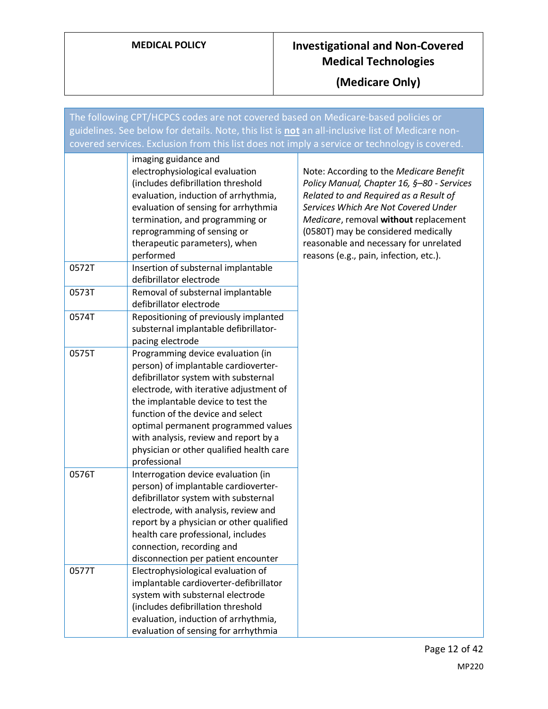**(Medicare Only)**

The following CPT/HCPCS codes are not covered based on Medicare-based policies or guidelines. See below for details. Note, this list is **not** an all-inclusive list of Medicare noncovered services. Exclusion from this list does not imply a service or technology is covered. imaging guidance and electrophysiological evaluation (includes defibrillation threshold evaluation, induction of arrhythmia, evaluation of sensing for arrhythmia termination, and programming or reprogramming of sensing or therapeutic parameters), when performed Note: According to the *Medicare Benefit Policy Manual, Chapter 16, §–80 - Services Related to and Required as a Result of Services Which Are Not Covered Under Medicare*, removal **without** replacement (0580T) may be considered medically reasonable and necessary for unrelated reasons (e.g., pain, infection, etc.). 0572T Insertion of substernal implantable defibrillator electrode 0573T Removal of substernal implantable defibrillator electrode 0574T Repositioning of previously implanted substernal implantable defibrillatorpacing electrode 0575T Programming device evaluation (in person) of implantable cardioverterdefibrillator system with substernal electrode, with iterative adjustment of the implantable device to test the function of the device and select optimal permanent programmed values with analysis, review and report by a physician or other qualified health care professional 0576T Interrogation device evaluation (in person) of implantable cardioverterdefibrillator system with substernal electrode, with analysis, review and report by a physician or other qualified health care professional, includes connection, recording and disconnection per patient encounter 0577T Electrophysiological evaluation of implantable cardioverter-defibrillator system with substernal electrode (includes defibrillation threshold evaluation, induction of arrhythmia, evaluation of sensing for arrhythmia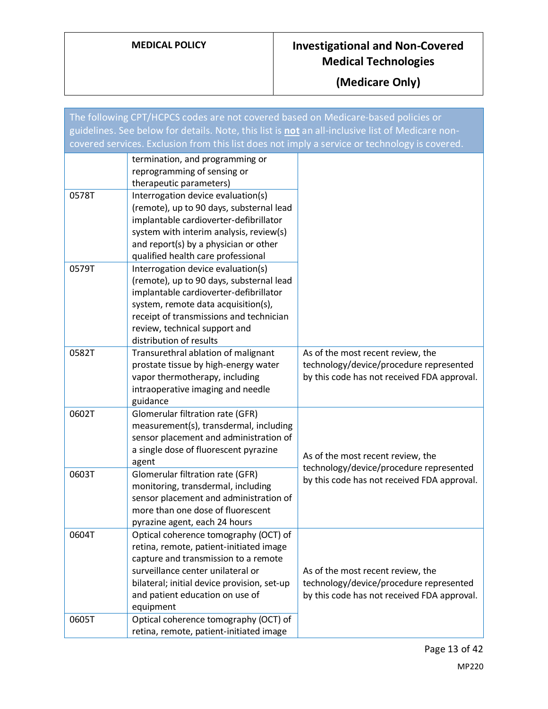| The following CPT/HCPCS codes are not covered based on Medicare-based policies or                |                                                                                                                                                                                                                                                                                                              |                                                                                                                             |
|--------------------------------------------------------------------------------------------------|--------------------------------------------------------------------------------------------------------------------------------------------------------------------------------------------------------------------------------------------------------------------------------------------------------------|-----------------------------------------------------------------------------------------------------------------------------|
| guidelines. See below for details. Note, this list is not an all-inclusive list of Medicare non- |                                                                                                                                                                                                                                                                                                              |                                                                                                                             |
|                                                                                                  | covered services. Exclusion from this list does not imply a service or technology is covered.                                                                                                                                                                                                                |                                                                                                                             |
|                                                                                                  | termination, and programming or<br>reprogramming of sensing or<br>therapeutic parameters)                                                                                                                                                                                                                    |                                                                                                                             |
| 0578T                                                                                            | Interrogation device evaluation(s)<br>(remote), up to 90 days, substernal lead<br>implantable cardioverter-defibrillator<br>system with interim analysis, review(s)<br>and report(s) by a physician or other                                                                                                 |                                                                                                                             |
| 0579T                                                                                            | qualified health care professional<br>Interrogation device evaluation(s)<br>(remote), up to 90 days, substernal lead<br>implantable cardioverter-defibrillator<br>system, remote data acquisition(s),<br>receipt of transmissions and technician<br>review, technical support and<br>distribution of results |                                                                                                                             |
| 0582T                                                                                            | Transurethral ablation of malignant<br>prostate tissue by high-energy water<br>vapor thermotherapy, including<br>intraoperative imaging and needle<br>guidance                                                                                                                                               | As of the most recent review, the<br>technology/device/procedure represented<br>by this code has not received FDA approval. |
| 0602T                                                                                            | Glomerular filtration rate (GFR)<br>measurement(s), transdermal, including<br>sensor placement and administration of<br>a single dose of fluorescent pyrazine<br>agent                                                                                                                                       | As of the most recent review, the<br>technology/device/procedure represented                                                |
| 0603T                                                                                            | Glomerular filtration rate (GFR)<br>monitoring, transdermal, including<br>sensor placement and administration of<br>more than one dose of fluorescent<br>pyrazine agent, each 24 hours                                                                                                                       | by this code has not received FDA approval.                                                                                 |
| 0604T                                                                                            | Optical coherence tomography (OCT) of<br>retina, remote, patient-initiated image<br>capture and transmission to a remote<br>surveillance center unilateral or<br>bilateral; initial device provision, set-up<br>and patient education on use of<br>equipment                                                 | As of the most recent review, the<br>technology/device/procedure represented<br>by this code has not received FDA approval. |
| 0605T                                                                                            | Optical coherence tomography (OCT) of<br>retina, remote, patient-initiated image                                                                                                                                                                                                                             |                                                                                                                             |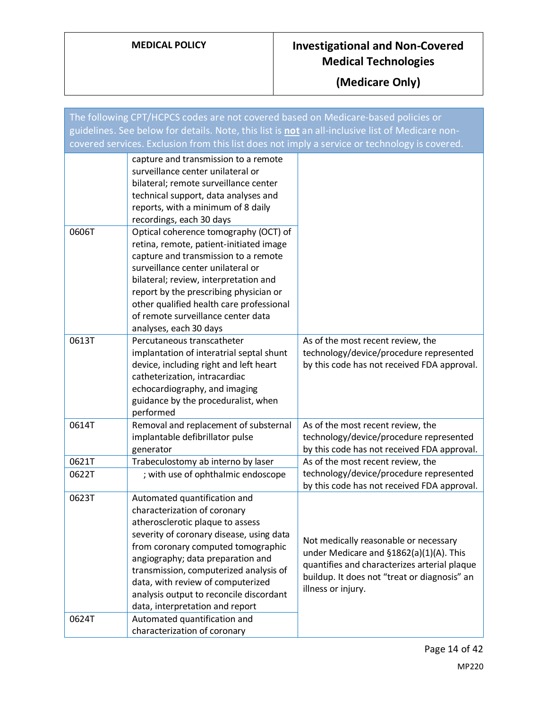| The following CPT/HCPCS codes are not covered based on Medicare-based policies or                |                                                                                                                                                                                                                                                                                                                                                                                                                      |                                                                                                                                                                                                        |
|--------------------------------------------------------------------------------------------------|----------------------------------------------------------------------------------------------------------------------------------------------------------------------------------------------------------------------------------------------------------------------------------------------------------------------------------------------------------------------------------------------------------------------|--------------------------------------------------------------------------------------------------------------------------------------------------------------------------------------------------------|
| guidelines. See below for details. Note, this list is not an all-inclusive list of Medicare non- |                                                                                                                                                                                                                                                                                                                                                                                                                      |                                                                                                                                                                                                        |
|                                                                                                  | covered services. Exclusion from this list does not imply a service or technology is covered.                                                                                                                                                                                                                                                                                                                        |                                                                                                                                                                                                        |
|                                                                                                  | capture and transmission to a remote<br>surveillance center unilateral or<br>bilateral; remote surveillance center<br>technical support, data analyses and<br>reports, with a minimum of 8 daily<br>recordings, each 30 days                                                                                                                                                                                         |                                                                                                                                                                                                        |
| 0606T                                                                                            | Optical coherence tomography (OCT) of<br>retina, remote, patient-initiated image<br>capture and transmission to a remote<br>surveillance center unilateral or<br>bilateral; review, interpretation and<br>report by the prescribing physician or<br>other qualified health care professional<br>of remote surveillance center data<br>analyses, each 30 days                                                         |                                                                                                                                                                                                        |
| 0613T                                                                                            | Percutaneous transcatheter<br>implantation of interatrial septal shunt<br>device, including right and left heart<br>catheterization, intracardiac<br>echocardiography, and imaging<br>guidance by the proceduralist, when<br>performed                                                                                                                                                                               | As of the most recent review, the<br>technology/device/procedure represented<br>by this code has not received FDA approval.                                                                            |
| 0614T                                                                                            | Removal and replacement of substernal<br>implantable defibrillator pulse<br>generator                                                                                                                                                                                                                                                                                                                                | As of the most recent review, the<br>technology/device/procedure represented<br>by this code has not received FDA approval.                                                                            |
| 0621T<br>0622T                                                                                   | Trabeculostomy ab interno by laser<br>; with use of ophthalmic endoscope                                                                                                                                                                                                                                                                                                                                             | As of the most recent review, the<br>technology/device/procedure represented<br>by this code has not received FDA approval.                                                                            |
| 0623T<br>0624T                                                                                   | Automated quantification and<br>characterization of coronary<br>atherosclerotic plaque to assess<br>severity of coronary disease, using data<br>from coronary computed tomographic<br>angiography; data preparation and<br>transmission, computerized analysis of<br>data, with review of computerized<br>analysis output to reconcile discordant<br>data, interpretation and report<br>Automated quantification and | Not medically reasonable or necessary<br>under Medicare and §1862(a)(1)(A). This<br>quantifies and characterizes arterial plaque<br>buildup. It does not "treat or diagnosis" an<br>illness or injury. |
|                                                                                                  | characterization of coronary                                                                                                                                                                                                                                                                                                                                                                                         |                                                                                                                                                                                                        |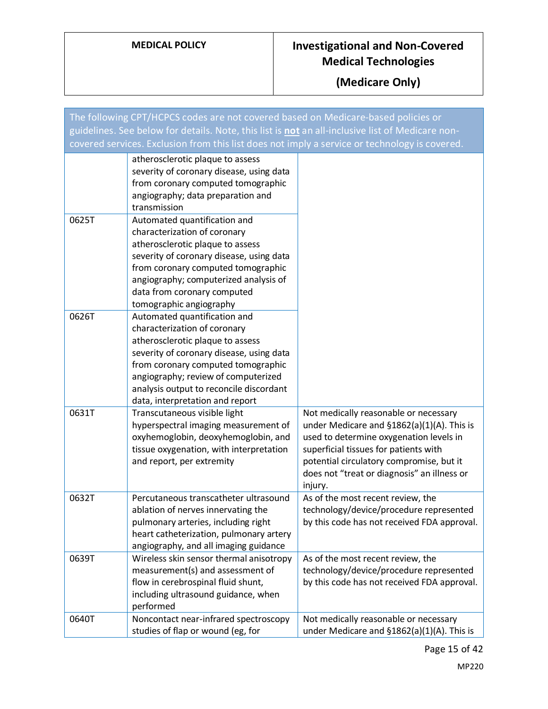| The following CPT/HCPCS codes are not covered based on Medicare-based policies or                |                                                                                                                                                                                                                                                                                                         |                                                                                                                                                                                                                                                                                  |
|--------------------------------------------------------------------------------------------------|---------------------------------------------------------------------------------------------------------------------------------------------------------------------------------------------------------------------------------------------------------------------------------------------------------|----------------------------------------------------------------------------------------------------------------------------------------------------------------------------------------------------------------------------------------------------------------------------------|
| guidelines. See below for details. Note, this list is not an all-inclusive list of Medicare non- |                                                                                                                                                                                                                                                                                                         |                                                                                                                                                                                                                                                                                  |
| covered services. Exclusion from this list does not imply a service or technology is covered.    |                                                                                                                                                                                                                                                                                                         |                                                                                                                                                                                                                                                                                  |
|                                                                                                  | atherosclerotic plaque to assess<br>severity of coronary disease, using data<br>from coronary computed tomographic<br>angiography; data preparation and<br>transmission                                                                                                                                 |                                                                                                                                                                                                                                                                                  |
| 0625T                                                                                            | Automated quantification and<br>characterization of coronary<br>atherosclerotic plaque to assess<br>severity of coronary disease, using data<br>from coronary computed tomographic<br>angiography; computerized analysis of<br>data from coronary computed<br>tomographic angiography                   |                                                                                                                                                                                                                                                                                  |
| 0626T                                                                                            | Automated quantification and<br>characterization of coronary<br>atherosclerotic plaque to assess<br>severity of coronary disease, using data<br>from coronary computed tomographic<br>angiography; review of computerized<br>analysis output to reconcile discordant<br>data, interpretation and report |                                                                                                                                                                                                                                                                                  |
| 0631T                                                                                            | Transcutaneous visible light<br>hyperspectral imaging measurement of<br>oxyhemoglobin, deoxyhemoglobin, and<br>tissue oxygenation, with interpretation<br>and report, per extremity                                                                                                                     | Not medically reasonable or necessary<br>under Medicare and $$1862(a)(1)(A)$ . This is<br>used to determine oxygenation levels in<br>superficial tissues for patients with<br>potential circulatory compromise, but it<br>does not "treat or diagnosis" an illness or<br>injury. |
| 0632T                                                                                            | Percutaneous transcatheter ultrasound<br>ablation of nerves innervating the<br>pulmonary arteries, including right<br>heart catheterization, pulmonary artery<br>angiography, and all imaging guidance                                                                                                  | As of the most recent review, the<br>technology/device/procedure represented<br>by this code has not received FDA approval.                                                                                                                                                      |
| 0639T                                                                                            | Wireless skin sensor thermal anisotropy<br>measurement(s) and assessment of<br>flow in cerebrospinal fluid shunt,<br>including ultrasound guidance, when<br>performed                                                                                                                                   | As of the most recent review, the<br>technology/device/procedure represented<br>by this code has not received FDA approval.                                                                                                                                                      |
| 0640T                                                                                            | Noncontact near-infrared spectroscopy<br>studies of flap or wound (eg, for                                                                                                                                                                                                                              | Not medically reasonable or necessary<br>under Medicare and §1862(a)(1)(A). This is                                                                                                                                                                                              |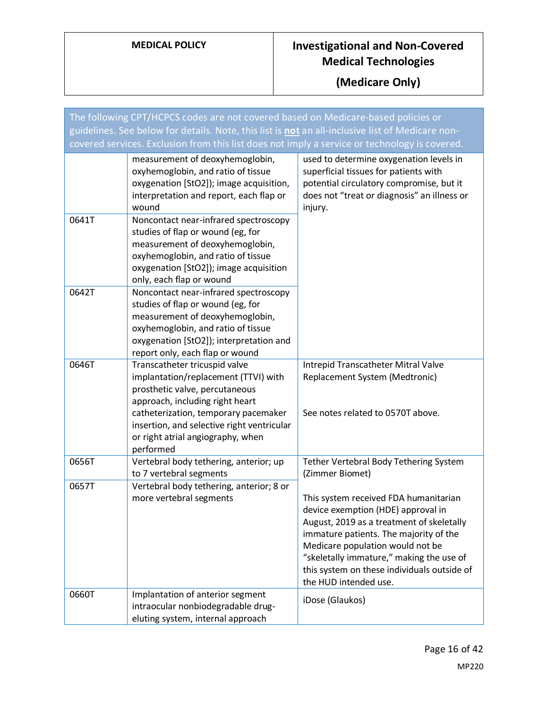| The following CPT/HCPCS codes are not covered based on Medicare-based policies or<br>guidelines. See below for details. Note, this list is not an all-inclusive list of Medicare non-<br>covered services. Exclusion from this list does not imply a service or technology is covered. |                                                                                                                                                                                                                                                                                    |                                                                                                                                                                                                                                                                                                                            |
|----------------------------------------------------------------------------------------------------------------------------------------------------------------------------------------------------------------------------------------------------------------------------------------|------------------------------------------------------------------------------------------------------------------------------------------------------------------------------------------------------------------------------------------------------------------------------------|----------------------------------------------------------------------------------------------------------------------------------------------------------------------------------------------------------------------------------------------------------------------------------------------------------------------------|
|                                                                                                                                                                                                                                                                                        | measurement of deoxyhemoglobin,<br>oxyhemoglobin, and ratio of tissue<br>oxygenation [StO2]); image acquisition,<br>interpretation and report, each flap or<br>wound                                                                                                               | used to determine oxygenation levels in<br>superficial tissues for patients with<br>potential circulatory compromise, but it<br>does not "treat or diagnosis" an illness or<br>injury.                                                                                                                                     |
| 0641T                                                                                                                                                                                                                                                                                  | Noncontact near-infrared spectroscopy<br>studies of flap or wound (eg, for<br>measurement of deoxyhemoglobin,<br>oxyhemoglobin, and ratio of tissue<br>oxygenation [StO2]); image acquisition<br>only, each flap or wound                                                          |                                                                                                                                                                                                                                                                                                                            |
| 0642T                                                                                                                                                                                                                                                                                  | Noncontact near-infrared spectroscopy<br>studies of flap or wound (eg, for<br>measurement of deoxyhemoglobin,<br>oxyhemoglobin, and ratio of tissue<br>oxygenation [StO2]); interpretation and<br>report only, each flap or wound                                                  |                                                                                                                                                                                                                                                                                                                            |
| 0646T                                                                                                                                                                                                                                                                                  | Transcatheter tricuspid valve<br>implantation/replacement (TTVI) with<br>prosthetic valve, percutaneous<br>approach, including right heart<br>catheterization, temporary pacemaker<br>insertion, and selective right ventricular<br>or right atrial angiography, when<br>performed | Intrepid Transcatheter Mitral Valve<br>Replacement System (Medtronic)<br>See notes related to 0570T above.                                                                                                                                                                                                                 |
| 0656T                                                                                                                                                                                                                                                                                  | Vertebral body tethering, anterior; up<br>to 7 vertebral segments                                                                                                                                                                                                                  | Tether Vertebral Body Tethering System<br>(Zimmer Biomet)                                                                                                                                                                                                                                                                  |
| 0657T                                                                                                                                                                                                                                                                                  | Vertebral body tethering, anterior; 8 or<br>more vertebral segments                                                                                                                                                                                                                | This system received FDA humanitarian<br>device exemption (HDE) approval in<br>August, 2019 as a treatment of skeletally<br>immature patients. The majority of the<br>Medicare population would not be<br>"skeletally immature," making the use of<br>this system on these individuals outside of<br>the HUD intended use. |
| 0660T                                                                                                                                                                                                                                                                                  | Implantation of anterior segment<br>intraocular nonbiodegradable drug-<br>eluting system, internal approach                                                                                                                                                                        | iDose (Glaukos)                                                                                                                                                                                                                                                                                                            |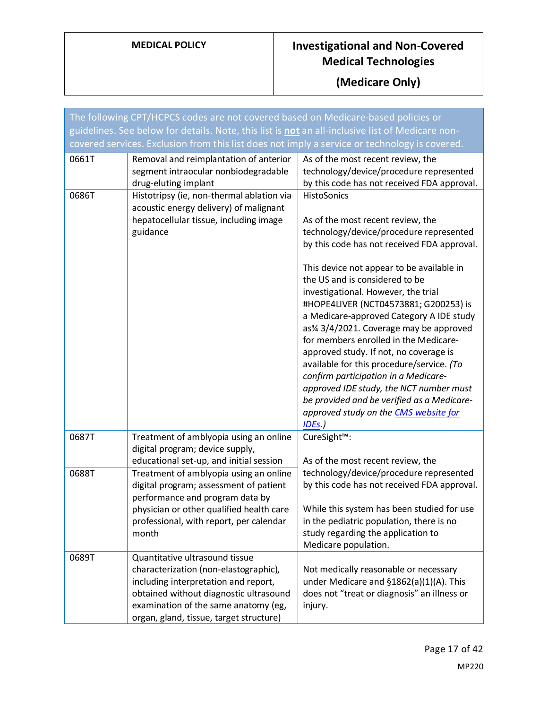| The following CPT/HCPCS codes are not covered based on Medicare-based policies or                |                                                                                                                                                                                                                                                                |                                                                                                                                                                                                                                                                                                                                                                                                                                                                                                                                                                                                                                                                                                                          |
|--------------------------------------------------------------------------------------------------|----------------------------------------------------------------------------------------------------------------------------------------------------------------------------------------------------------------------------------------------------------------|--------------------------------------------------------------------------------------------------------------------------------------------------------------------------------------------------------------------------------------------------------------------------------------------------------------------------------------------------------------------------------------------------------------------------------------------------------------------------------------------------------------------------------------------------------------------------------------------------------------------------------------------------------------------------------------------------------------------------|
| guidelines. See below for details. Note, this list is not an all-inclusive list of Medicare non- |                                                                                                                                                                                                                                                                |                                                                                                                                                                                                                                                                                                                                                                                                                                                                                                                                                                                                                                                                                                                          |
|                                                                                                  | covered services. Exclusion from this list does not imply a service or technology is covered.                                                                                                                                                                  |                                                                                                                                                                                                                                                                                                                                                                                                                                                                                                                                                                                                                                                                                                                          |
| 0661T                                                                                            | Removal and reimplantation of anterior<br>segment intraocular nonbiodegradable<br>drug-eluting implant                                                                                                                                                         | As of the most recent review, the<br>technology/device/procedure represented<br>by this code has not received FDA approval.                                                                                                                                                                                                                                                                                                                                                                                                                                                                                                                                                                                              |
| 0686T                                                                                            | Histotripsy (ie, non-thermal ablation via<br>acoustic energy delivery) of malignant<br>hepatocellular tissue, including image<br>guidance                                                                                                                      | HistoSonics<br>As of the most recent review, the<br>technology/device/procedure represented<br>by this code has not received FDA approval.<br>This device not appear to be available in<br>the US and is considered to be<br>investigational. However, the trial<br>#HOPE4LIVER (NCT04573881; G200253) is<br>a Medicare-approved Category A IDE study<br>as3⁄4 3/4/2021. Coverage may be approved<br>for members enrolled in the Medicare-<br>approved study. If not, no coverage is<br>available for this procedure/service. (To<br>confirm participation in a Medicare-<br>approved IDE study, the NCT number must<br>be provided and be verified as a Medicare-<br>approved study on the CMS website for<br>$IDEs$ .) |
| 0687T                                                                                            | Treatment of amblyopia using an online<br>digital program; device supply,                                                                                                                                                                                      | CureSight™:                                                                                                                                                                                                                                                                                                                                                                                                                                                                                                                                                                                                                                                                                                              |
| 0688T                                                                                            | educational set-up, and initial session<br>Treatment of amblyopia using an online<br>digital program; assessment of patient<br>performance and program data by<br>physician or other qualified health care<br>professional, with report, per calendar<br>month | As of the most recent review, the<br>technology/device/procedure represented<br>by this code has not received FDA approval.<br>While this system has been studied for use<br>in the pediatric population, there is no<br>study regarding the application to<br>Medicare population.                                                                                                                                                                                                                                                                                                                                                                                                                                      |
| 0689T                                                                                            | Quantitative ultrasound tissue<br>characterization (non-elastographic),<br>including interpretation and report,<br>obtained without diagnostic ultrasound<br>examination of the same anatomy (eg,<br>organ, gland, tissue, target structure)                   | Not medically reasonable or necessary<br>under Medicare and §1862(a)(1)(A). This<br>does not "treat or diagnosis" an illness or<br>injury.                                                                                                                                                                                                                                                                                                                                                                                                                                                                                                                                                                               |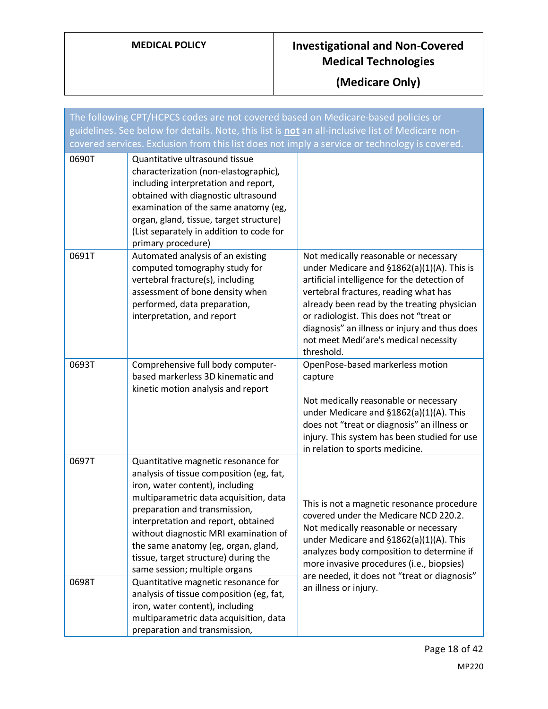| The following CPT/HCPCS codes are not covered based on Medicare-based policies or<br>guidelines. See below for details. Note, this list is not an all-inclusive list of Medicare non- |                                                                                                                                                                                                                                                                                                                                                                                               |                                                                                                                                                                                                                                                                                                                                                                                |
|---------------------------------------------------------------------------------------------------------------------------------------------------------------------------------------|-----------------------------------------------------------------------------------------------------------------------------------------------------------------------------------------------------------------------------------------------------------------------------------------------------------------------------------------------------------------------------------------------|--------------------------------------------------------------------------------------------------------------------------------------------------------------------------------------------------------------------------------------------------------------------------------------------------------------------------------------------------------------------------------|
|                                                                                                                                                                                       | covered services. Exclusion from this list does not imply a service or technology is covered.                                                                                                                                                                                                                                                                                                 |                                                                                                                                                                                                                                                                                                                                                                                |
| 0690T                                                                                                                                                                                 | Quantitative ultrasound tissue<br>characterization (non-elastographic),<br>including interpretation and report,<br>obtained with diagnostic ultrasound<br>examination of the same anatomy (eg,<br>organ, gland, tissue, target structure)<br>(List separately in addition to code for<br>primary procedure)                                                                                   |                                                                                                                                                                                                                                                                                                                                                                                |
| 0691T                                                                                                                                                                                 | Automated analysis of an existing<br>computed tomography study for<br>vertebral fracture(s), including<br>assessment of bone density when<br>performed, data preparation,<br>interpretation, and report                                                                                                                                                                                       | Not medically reasonable or necessary<br>under Medicare and §1862(a)(1)(A). This is<br>artificial intelligence for the detection of<br>vertebral fractures, reading what has<br>already been read by the treating physician<br>or radiologist. This does not "treat or<br>diagnosis" an illness or injury and thus does<br>not meet Medi'are's medical necessity<br>threshold. |
| 0693T                                                                                                                                                                                 | Comprehensive full body computer-<br>based markerless 3D kinematic and<br>kinetic motion analysis and report                                                                                                                                                                                                                                                                                  | OpenPose-based markerless motion<br>capture<br>Not medically reasonable or necessary<br>under Medicare and §1862(a)(1)(A). This<br>does not "treat or diagnosis" an illness or<br>injury. This system has been studied for use<br>in relation to sports medicine.                                                                                                              |
| 0697T                                                                                                                                                                                 | Quantitative magnetic resonance for<br>analysis of tissue composition (eg, fat,<br>iron, water content), including<br>multiparametric data acquisition, data<br>preparation and transmission,<br>interpretation and report, obtained<br>without diagnostic MRI examination of<br>the same anatomy (eg, organ, gland,<br>tissue, target structure) during the<br>same session; multiple organs | This is not a magnetic resonance procedure<br>covered under the Medicare NCD 220.2.<br>Not medically reasonable or necessary<br>under Medicare and §1862(a)(1)(A). This<br>analyzes body composition to determine if<br>more invasive procedures (i.e., biopsies)                                                                                                              |
| 0698T                                                                                                                                                                                 | Quantitative magnetic resonance for<br>analysis of tissue composition (eg, fat,<br>iron, water content), including<br>multiparametric data acquisition, data<br>preparation and transmission,                                                                                                                                                                                                 | are needed, it does not "treat or diagnosis"<br>an illness or injury.                                                                                                                                                                                                                                                                                                          |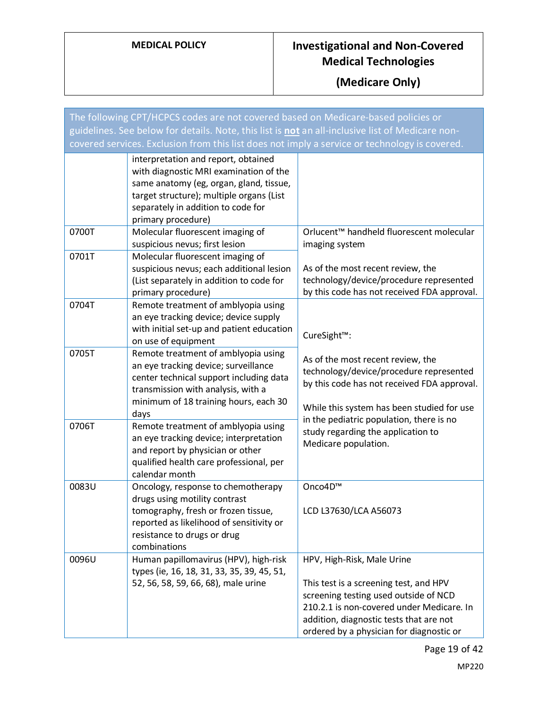| The following CPT/HCPCS codes are not covered based on Medicare-based policies or                |                                                                                                                                                                                                                                  |                                                                                                                                                                                                                                                   |
|--------------------------------------------------------------------------------------------------|----------------------------------------------------------------------------------------------------------------------------------------------------------------------------------------------------------------------------------|---------------------------------------------------------------------------------------------------------------------------------------------------------------------------------------------------------------------------------------------------|
| guidelines. See below for details. Note, this list is not an all-inclusive list of Medicare non- |                                                                                                                                                                                                                                  |                                                                                                                                                                                                                                                   |
| covered services. Exclusion from this list does not imply a service or technology is covered.    |                                                                                                                                                                                                                                  |                                                                                                                                                                                                                                                   |
|                                                                                                  | interpretation and report, obtained<br>with diagnostic MRI examination of the<br>same anatomy (eg, organ, gland, tissue,<br>target structure); multiple organs (List<br>separately in addition to code for<br>primary procedure) |                                                                                                                                                                                                                                                   |
| 0700T                                                                                            | Molecular fluorescent imaging of<br>suspicious nevus; first lesion                                                                                                                                                               | Orlucent <sup>™</sup> handheld fluorescent molecular<br>imaging system                                                                                                                                                                            |
| 0701T                                                                                            | Molecular fluorescent imaging of<br>suspicious nevus; each additional lesion<br>(List separately in addition to code for<br>primary procedure)                                                                                   | As of the most recent review, the<br>technology/device/procedure represented<br>by this code has not received FDA approval.                                                                                                                       |
| 0704T                                                                                            | Remote treatment of amblyopia using<br>an eye tracking device; device supply<br>with initial set-up and patient education<br>on use of equipment                                                                                 | CureSight™:                                                                                                                                                                                                                                       |
| 0705T                                                                                            | Remote treatment of amblyopia using<br>an eye tracking device; surveillance<br>center technical support including data<br>transmission with analysis, with a<br>minimum of 18 training hours, each 30<br>days                    | As of the most recent review, the<br>technology/device/procedure represented<br>by this code has not received FDA approval.<br>While this system has been studied for use                                                                         |
| 0706T                                                                                            | Remote treatment of amblyopia using<br>an eye tracking device; interpretation<br>and report by physician or other<br>qualified health care professional, per<br>calendar month                                                   | in the pediatric population, there is no<br>study regarding the application to<br>Medicare population.                                                                                                                                            |
| 0083U                                                                                            | Oncology, response to chemotherapy<br>drugs using motility contrast<br>tomography, fresh or frozen tissue,<br>reported as likelihood of sensitivity or<br>resistance to drugs or drug<br>combinations                            | Onco4D™<br>LCD L37630/LCA A56073                                                                                                                                                                                                                  |
| 0096U                                                                                            | Human papillomavirus (HPV), high-risk<br>types (ie, 16, 18, 31, 33, 35, 39, 45, 51,<br>52, 56, 58, 59, 66, 68), male urine                                                                                                       | HPV, High-Risk, Male Urine<br>This test is a screening test, and HPV<br>screening testing used outside of NCD<br>210.2.1 is non-covered under Medicare. In<br>addition, diagnostic tests that are not<br>ordered by a physician for diagnostic or |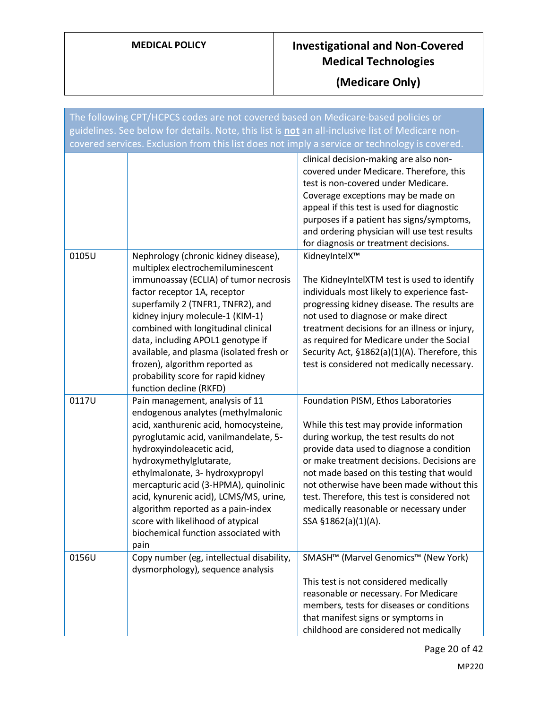| The following CPT/HCPCS codes are not covered based on Medicare-based policies or<br>guidelines. See below for details. Note, this list is not an all-inclusive list of Medicare non-<br>covered services. Exclusion from this list does not imply a service or technology is covered. |                                                                                                                                                                                                                                                                                                                                                                                                                                                                  |                                                                                                                                                                                                                                                                                                                                                                                                                                 |
|----------------------------------------------------------------------------------------------------------------------------------------------------------------------------------------------------------------------------------------------------------------------------------------|------------------------------------------------------------------------------------------------------------------------------------------------------------------------------------------------------------------------------------------------------------------------------------------------------------------------------------------------------------------------------------------------------------------------------------------------------------------|---------------------------------------------------------------------------------------------------------------------------------------------------------------------------------------------------------------------------------------------------------------------------------------------------------------------------------------------------------------------------------------------------------------------------------|
|                                                                                                                                                                                                                                                                                        |                                                                                                                                                                                                                                                                                                                                                                                                                                                                  | clinical decision-making are also non-<br>covered under Medicare. Therefore, this<br>test is non-covered under Medicare.<br>Coverage exceptions may be made on<br>appeal if this test is used for diagnostic<br>purposes if a patient has signs/symptoms,<br>and ordering physician will use test results<br>for diagnosis or treatment decisions.                                                                              |
| 0105U                                                                                                                                                                                                                                                                                  | Nephrology (chronic kidney disease),<br>multiplex electrochemiluminescent<br>immunoassay (ECLIA) of tumor necrosis<br>factor receptor 1A, receptor<br>superfamily 2 (TNFR1, TNFR2), and<br>kidney injury molecule-1 (KIM-1)<br>combined with longitudinal clinical<br>data, including APOL1 genotype if<br>available, and plasma (isolated fresh or<br>frozen), algorithm reported as<br>probability score for rapid kidney<br>function decline (RKFD)           | KidneyIntelX™<br>The KidneyIntelXTM test is used to identify<br>individuals most likely to experience fast-<br>progressing kidney disease. The results are<br>not used to diagnose or make direct<br>treatment decisions for an illness or injury,<br>as required for Medicare under the Social<br>Security Act, §1862(a)(1)(A). Therefore, this<br>test is considered not medically necessary.                                 |
| 0117U                                                                                                                                                                                                                                                                                  | Pain management, analysis of 11<br>endogenous analytes (methylmalonic<br>acid, xanthurenic acid, homocysteine,<br>pyroglutamic acid, vanilmandelate, 5-<br>hydroxyindoleacetic acid,<br>hydroxymethylglutarate,<br>ethylmalonate, 3- hydroxypropyl<br>mercapturic acid (3-HPMA), quinolinic<br>acid, kynurenic acid), LCMS/MS, urine,<br>algorithm reported as a pain-index<br>score with likelihood of atypical<br>biochemical function associated with<br>pain | Foundation PISM, Ethos Laboratories<br>While this test may provide information<br>during workup, the test results do not<br>provide data used to diagnose a condition<br>or make treatment decisions. Decisions are<br>not made based on this testing that would<br>not otherwise have been made without this<br>test. Therefore, this test is considered not<br>medically reasonable or necessary under<br>SSA §1862(a)(1)(A). |
| 0156U                                                                                                                                                                                                                                                                                  | Copy number (eg, intellectual disability,<br>dysmorphology), sequence analysis                                                                                                                                                                                                                                                                                                                                                                                   | SMASH™ (Marvel Genomics™ (New York)<br>This test is not considered medically<br>reasonable or necessary. For Medicare<br>members, tests for diseases or conditions<br>that manifest signs or symptoms in<br>childhood are considered not medically                                                                                                                                                                              |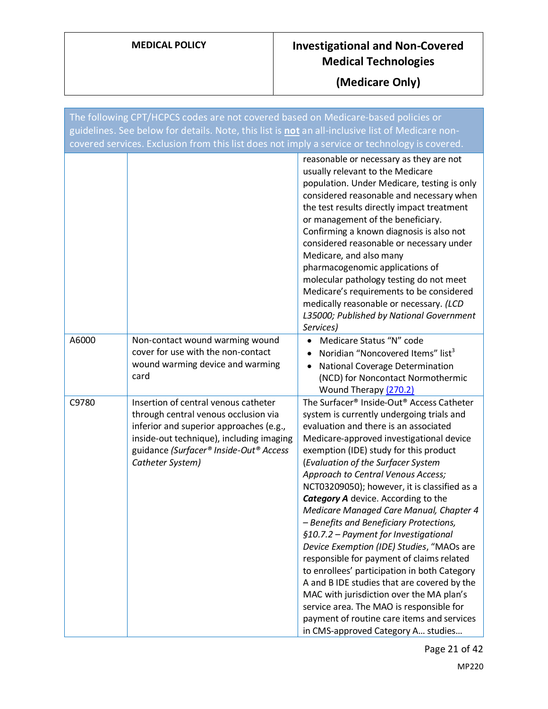| The following CPT/HCPCS codes are not covered based on Medicare-based policies or<br>guidelines. See below for details. Note, this list is not an all-inclusive list of Medicare non-<br>covered services. Exclusion from this list does not imply a service or technology is covered. |                                                                                                                                                                                                                                   |                                                                                                                                                                                                                                                                                                                                                                                                                                                                                                                                                                                                                                                                                                                                                                                                                                                                                                                             |
|----------------------------------------------------------------------------------------------------------------------------------------------------------------------------------------------------------------------------------------------------------------------------------------|-----------------------------------------------------------------------------------------------------------------------------------------------------------------------------------------------------------------------------------|-----------------------------------------------------------------------------------------------------------------------------------------------------------------------------------------------------------------------------------------------------------------------------------------------------------------------------------------------------------------------------------------------------------------------------------------------------------------------------------------------------------------------------------------------------------------------------------------------------------------------------------------------------------------------------------------------------------------------------------------------------------------------------------------------------------------------------------------------------------------------------------------------------------------------------|
|                                                                                                                                                                                                                                                                                        |                                                                                                                                                                                                                                   | reasonable or necessary as they are not<br>usually relevant to the Medicare<br>population. Under Medicare, testing is only<br>considered reasonable and necessary when<br>the test results directly impact treatment<br>or management of the beneficiary.<br>Confirming a known diagnosis is also not<br>considered reasonable or necessary under<br>Medicare, and also many<br>pharmacogenomic applications of<br>molecular pathology testing do not meet<br>Medicare's requirements to be considered<br>medically reasonable or necessary. (LCD<br>L35000; Published by National Government<br>Services)                                                                                                                                                                                                                                                                                                                  |
| A6000                                                                                                                                                                                                                                                                                  | Non-contact wound warming wound<br>cover for use with the non-contact<br>wound warming device and warming<br>card                                                                                                                 | Medicare Status "N" code<br>Noridian "Noncovered Items" list <sup>3</sup><br>National Coverage Determination<br>(NCD) for Noncontact Normothermic<br>Wound Therapy (270.2)                                                                                                                                                                                                                                                                                                                                                                                                                                                                                                                                                                                                                                                                                                                                                  |
| C9780                                                                                                                                                                                                                                                                                  | Insertion of central venous catheter<br>through central venous occlusion via<br>inferior and superior approaches (e.g.,<br>inside-out technique), including imaging<br>guidance (Surfacer® Inside-Out® Access<br>Catheter System) | The Surfacer <sup>®</sup> Inside-Out <sup>®</sup> Access Catheter<br>system is currently undergoing trials and<br>evaluation and there is an associated<br>Medicare-approved investigational device<br>exemption (IDE) study for this product<br>(Evaluation of the Surfacer System<br>Approach to Central Venous Access;<br>NCT03209050); however, it is classified as a<br><b>Category A</b> device. According to the<br>Medicare Managed Care Manual, Chapter 4<br>- Benefits and Beneficiary Protections,<br>§10.7.2 - Payment for Investigational<br>Device Exemption (IDE) Studies, "MAOs are<br>responsible for payment of claims related<br>to enrollees' participation in both Category<br>A and B IDE studies that are covered by the<br>MAC with jurisdiction over the MA plan's<br>service area. The MAO is responsible for<br>payment of routine care items and services<br>in CMS-approved Category A studies |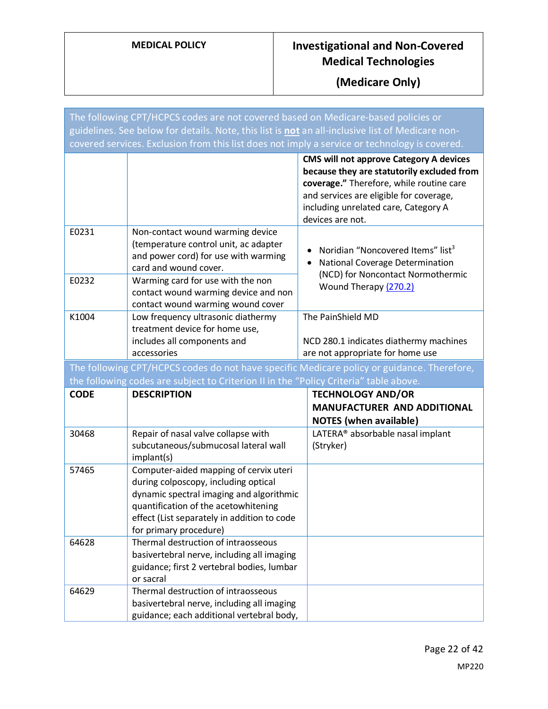| The following CPT/HCPCS codes are not covered based on Medicare-based policies or             |                                                                                                                                                                                                                                             |                                                                                                                                                                                                                                                 |  |
|-----------------------------------------------------------------------------------------------|---------------------------------------------------------------------------------------------------------------------------------------------------------------------------------------------------------------------------------------------|-------------------------------------------------------------------------------------------------------------------------------------------------------------------------------------------------------------------------------------------------|--|
|                                                                                               | guidelines. See below for details. Note, this list is not an all-inclusive list of Medicare non-                                                                                                                                            |                                                                                                                                                                                                                                                 |  |
| covered services. Exclusion from this list does not imply a service or technology is covered. |                                                                                                                                                                                                                                             |                                                                                                                                                                                                                                                 |  |
|                                                                                               |                                                                                                                                                                                                                                             | <b>CMS will not approve Category A devices</b><br>because they are statutorily excluded from<br>coverage." Therefore, while routine care<br>and services are eligible for coverage,<br>including unrelated care, Category A<br>devices are not. |  |
| E0231                                                                                         | Non-contact wound warming device                                                                                                                                                                                                            |                                                                                                                                                                                                                                                 |  |
|                                                                                               | (temperature control unit, ac adapter<br>and power cord) for use with warming<br>card and wound cover.                                                                                                                                      | Noridian "Noncovered Items" list <sup>3</sup><br>National Coverage Determination<br>(NCD) for Noncontact Normothermic                                                                                                                           |  |
| E0232                                                                                         | Warming card for use with the non<br>contact wound warming device and non<br>contact wound warming wound cover                                                                                                                              | Wound Therapy (270.2)                                                                                                                                                                                                                           |  |
| K1004                                                                                         | Low frequency ultrasonic diathermy                                                                                                                                                                                                          | The PainShield MD                                                                                                                                                                                                                               |  |
|                                                                                               | treatment device for home use,                                                                                                                                                                                                              |                                                                                                                                                                                                                                                 |  |
|                                                                                               | includes all components and<br>accessories                                                                                                                                                                                                  | NCD 280.1 indicates diathermy machines<br>are not appropriate for home use                                                                                                                                                                      |  |
|                                                                                               |                                                                                                                                                                                                                                             | The following CPT/HCPCS codes do not have specific Medicare policy or guidance. Therefore,                                                                                                                                                      |  |
|                                                                                               | the following codes are subject to Criterion II in the "Policy Criteria" table above.                                                                                                                                                       |                                                                                                                                                                                                                                                 |  |
| <b>CODE</b>                                                                                   | <b>DESCRIPTION</b>                                                                                                                                                                                                                          | <b>TECHNOLOGY AND/OR</b>                                                                                                                                                                                                                        |  |
|                                                                                               |                                                                                                                                                                                                                                             | <b>MANUFACTURER AND ADDITIONAL</b><br><b>NOTES</b> (when available)                                                                                                                                                                             |  |
| 30468                                                                                         | Repair of nasal valve collapse with<br>subcutaneous/submucosal lateral wall<br>implant(s)                                                                                                                                                   | LATERA® absorbable nasal implant<br>(Stryker)                                                                                                                                                                                                   |  |
| 57465                                                                                         | Computer-aided mapping of cervix uteri<br>during colposcopy, including optical<br>dynamic spectral imaging and algorithmic<br>quantification of the acetowhitening<br>effect (List separately in addition to code<br>for primary procedure) |                                                                                                                                                                                                                                                 |  |
| 64628                                                                                         | Thermal destruction of intraosseous<br>basivertebral nerve, including all imaging<br>guidance; first 2 vertebral bodies, lumbar<br>or sacral                                                                                                |                                                                                                                                                                                                                                                 |  |
| 64629                                                                                         | Thermal destruction of intraosseous<br>basivertebral nerve, including all imaging                                                                                                                                                           |                                                                                                                                                                                                                                                 |  |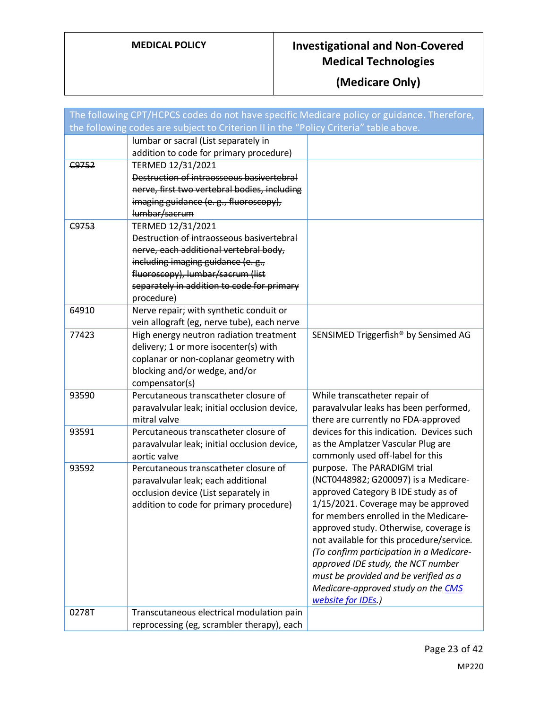| The following CPT/HCPCS codes do not have specific Medicare policy or guidance. Therefore, |                                                       |                                                                             |
|--------------------------------------------------------------------------------------------|-------------------------------------------------------|-----------------------------------------------------------------------------|
| the following codes are subject to Criterion II in the "Policy Criteria" table above.      |                                                       |                                                                             |
|                                                                                            | lumbar or sacral (List separately in                  |                                                                             |
|                                                                                            | addition to code for primary procedure)               |                                                                             |
| C9752                                                                                      | TERMED 12/31/2021                                     |                                                                             |
|                                                                                            | Destruction of intraosseous basivertebral             |                                                                             |
|                                                                                            | nerve, first two vertebral bodies, including          |                                                                             |
|                                                                                            | imaging guidance (e. g., fluoroscopy),                |                                                                             |
|                                                                                            | lumbar/sacrum                                         |                                                                             |
| C9753                                                                                      | TERMED 12/31/2021                                     |                                                                             |
|                                                                                            | Destruction of intraosseous basivertebral             |                                                                             |
|                                                                                            | nerve, each additional vertebral body,                |                                                                             |
|                                                                                            | including imaging guidance (e. g.,                    |                                                                             |
|                                                                                            | fluoroscopy), lumbar/sacrum (list                     |                                                                             |
|                                                                                            | separately in addition to code for primary            |                                                                             |
| 64910                                                                                      | procedure)<br>Nerve repair; with synthetic conduit or |                                                                             |
|                                                                                            | vein allograft (eg, nerve tube), each nerve           |                                                                             |
| 77423                                                                                      | High energy neutron radiation treatment               | SENSIMED Triggerfish® by Sensimed AG                                        |
|                                                                                            | delivery; 1 or more isocenter(s) with                 |                                                                             |
|                                                                                            | coplanar or non-coplanar geometry with                |                                                                             |
|                                                                                            | blocking and/or wedge, and/or                         |                                                                             |
|                                                                                            | compensator(s)                                        |                                                                             |
| 93590                                                                                      | Percutaneous transcatheter closure of                 | While transcatheter repair of                                               |
|                                                                                            | paravalvular leak; initial occlusion device,          | paravalvular leaks has been performed,                                      |
|                                                                                            | mitral valve                                          | there are currently no FDA-approved                                         |
| 93591                                                                                      | Percutaneous transcatheter closure of                 | devices for this indication. Devices such                                   |
|                                                                                            | paravalvular leak; initial occlusion device,          | as the Amplatzer Vascular Plug are                                          |
|                                                                                            | aortic valve                                          | commonly used off-label for this                                            |
| 93592                                                                                      | Percutaneous transcatheter closure of                 | purpose. The PARADIGM trial                                                 |
|                                                                                            | paravalvular leak; each additional                    | (NCT0448982; G200097) is a Medicare-                                        |
|                                                                                            | occlusion device (List separately in                  | approved Category B IDE study as of                                         |
|                                                                                            | addition to code for primary procedure)               | 1/15/2021. Coverage may be approved                                         |
|                                                                                            |                                                       | for members enrolled in the Medicare-                                       |
|                                                                                            |                                                       | approved study. Otherwise, coverage is                                      |
|                                                                                            |                                                       | not available for this procedure/service.                                   |
|                                                                                            |                                                       | (To confirm participation in a Medicare-                                    |
|                                                                                            |                                                       | approved IDE study, the NCT number<br>must be provided and be verified as a |
|                                                                                            |                                                       | Medicare-approved study on the CMS                                          |
|                                                                                            |                                                       | website for IDEs.)                                                          |
| 0278T                                                                                      | Transcutaneous electrical modulation pain             |                                                                             |
|                                                                                            | reprocessing (eg, scrambler therapy), each            |                                                                             |
|                                                                                            |                                                       |                                                                             |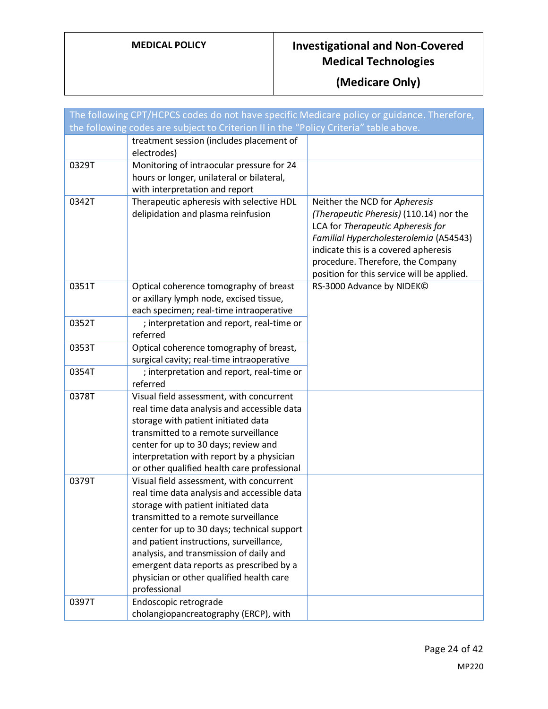| The following CPT/HCPCS codes do not have specific Medicare policy or guidance. Therefore, |                                                                                                                                                                                                                                                                                                                                                                                                                     |                                                                                                                                                                                                                                                                                    |
|--------------------------------------------------------------------------------------------|---------------------------------------------------------------------------------------------------------------------------------------------------------------------------------------------------------------------------------------------------------------------------------------------------------------------------------------------------------------------------------------------------------------------|------------------------------------------------------------------------------------------------------------------------------------------------------------------------------------------------------------------------------------------------------------------------------------|
|                                                                                            | the following codes are subject to Criterion II in the "Policy Criteria" table above.                                                                                                                                                                                                                                                                                                                               |                                                                                                                                                                                                                                                                                    |
|                                                                                            | treatment session (includes placement of<br>electrodes)                                                                                                                                                                                                                                                                                                                                                             |                                                                                                                                                                                                                                                                                    |
| 0329T                                                                                      | Monitoring of intraocular pressure for 24<br>hours or longer, unilateral or bilateral,<br>with interpretation and report                                                                                                                                                                                                                                                                                            |                                                                                                                                                                                                                                                                                    |
| 0342T                                                                                      | Therapeutic apheresis with selective HDL<br>delipidation and plasma reinfusion                                                                                                                                                                                                                                                                                                                                      | Neither the NCD for Apheresis<br>(Therapeutic Pheresis) (110.14) nor the<br>LCA for Therapeutic Apheresis for<br>Familial Hypercholesterolemia (A54543)<br>indicate this is a covered apheresis<br>procedure. Therefore, the Company<br>position for this service will be applied. |
| 0351T                                                                                      | Optical coherence tomography of breast<br>or axillary lymph node, excised tissue,<br>each specimen; real-time intraoperative                                                                                                                                                                                                                                                                                        | RS-3000 Advance by NIDEK©                                                                                                                                                                                                                                                          |
| 0352T                                                                                      | ; interpretation and report, real-time or<br>referred                                                                                                                                                                                                                                                                                                                                                               |                                                                                                                                                                                                                                                                                    |
| 0353T                                                                                      | Optical coherence tomography of breast,<br>surgical cavity; real-time intraoperative                                                                                                                                                                                                                                                                                                                                |                                                                                                                                                                                                                                                                                    |
| 0354T                                                                                      | ; interpretation and report, real-time or<br>referred                                                                                                                                                                                                                                                                                                                                                               |                                                                                                                                                                                                                                                                                    |
| 0378T                                                                                      | Visual field assessment, with concurrent<br>real time data analysis and accessible data<br>storage with patient initiated data<br>transmitted to a remote surveillance<br>center for up to 30 days; review and<br>interpretation with report by a physician<br>or other qualified health care professional                                                                                                          |                                                                                                                                                                                                                                                                                    |
| 0379T                                                                                      | Visual field assessment, with concurrent<br>real time data analysis and accessible data<br>storage with patient initiated data<br>transmitted to a remote surveillance<br>center for up to 30 days; technical support<br>and patient instructions, surveillance,<br>analysis, and transmission of daily and<br>emergent data reports as prescribed by a<br>physician or other qualified health care<br>professional |                                                                                                                                                                                                                                                                                    |
| 0397T                                                                                      | Endoscopic retrograde<br>cholangiopancreatography (ERCP), with                                                                                                                                                                                                                                                                                                                                                      |                                                                                                                                                                                                                                                                                    |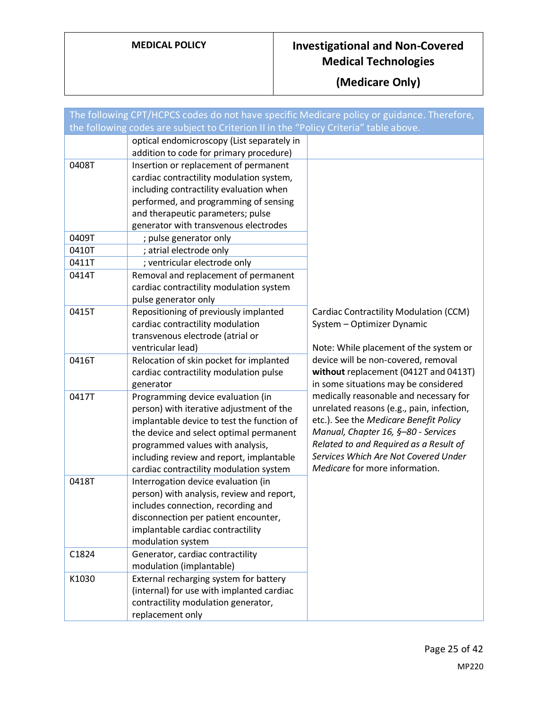|       | The following CPT/HCPCS codes do not have specific Medicare policy or guidance. Therefore, |                                                                                     |
|-------|--------------------------------------------------------------------------------------------|-------------------------------------------------------------------------------------|
|       | the following codes are subject to Criterion II in the "Policy Criteria" table above.      |                                                                                     |
|       | optical endomicroscopy (List separately in                                                 |                                                                                     |
| 0408T | addition to code for primary procedure)<br>Insertion or replacement of permanent           |                                                                                     |
|       | cardiac contractility modulation system,                                                   |                                                                                     |
|       | including contractility evaluation when                                                    |                                                                                     |
|       | performed, and programming of sensing                                                      |                                                                                     |
|       | and therapeutic parameters; pulse                                                          |                                                                                     |
|       | generator with transvenous electrodes                                                      |                                                                                     |
| 0409T | ; pulse generator only                                                                     |                                                                                     |
| 0410T | ; atrial electrode only                                                                    |                                                                                     |
| 0411T | ; ventricular electrode only                                                               |                                                                                     |
| 0414T | Removal and replacement of permanent                                                       |                                                                                     |
|       | cardiac contractility modulation system                                                    |                                                                                     |
|       | pulse generator only                                                                       |                                                                                     |
| 0415T | Repositioning of previously implanted                                                      | Cardiac Contractility Modulation (CCM)                                              |
|       | cardiac contractility modulation                                                           | System - Optimizer Dynamic                                                          |
|       | transvenous electrode (atrial or                                                           |                                                                                     |
|       | ventricular lead)                                                                          | Note: While placement of the system or                                              |
| 0416T | Relocation of skin pocket for implanted                                                    | device will be non-covered, removal                                                 |
|       | cardiac contractility modulation pulse                                                     | without replacement (0412T and 0413T)                                               |
|       | generator                                                                                  | in some situations may be considered                                                |
| 0417T | Programming device evaluation (in                                                          | medically reasonable and necessary for<br>unrelated reasons (e.g., pain, infection, |
|       | person) with iterative adjustment of the<br>implantable device to test the function of     | etc.). See the Medicare Benefit Policy                                              |
|       | the device and select optimal permanent                                                    | Manual, Chapter 16, §-80 - Services                                                 |
|       | programmed values with analysis,                                                           | Related to and Required as a Result of                                              |
|       | including review and report, implantable                                                   | Services Which Are Not Covered Under                                                |
|       | cardiac contractility modulation system                                                    | Medicare for more information.                                                      |
| 0418T | Interrogation device evaluation (in                                                        |                                                                                     |
|       | person) with analysis, review and report,                                                  |                                                                                     |
|       | includes connection, recording and                                                         |                                                                                     |
|       | disconnection per patient encounter,                                                       |                                                                                     |
|       | implantable cardiac contractility                                                          |                                                                                     |
|       | modulation system                                                                          |                                                                                     |
| C1824 | Generator, cardiac contractility                                                           |                                                                                     |
|       | modulation (implantable)                                                                   |                                                                                     |
| K1030 | External recharging system for battery                                                     |                                                                                     |
|       | (internal) for use with implanted cardiac                                                  |                                                                                     |
|       | contractility modulation generator,                                                        |                                                                                     |
|       | replacement only                                                                           |                                                                                     |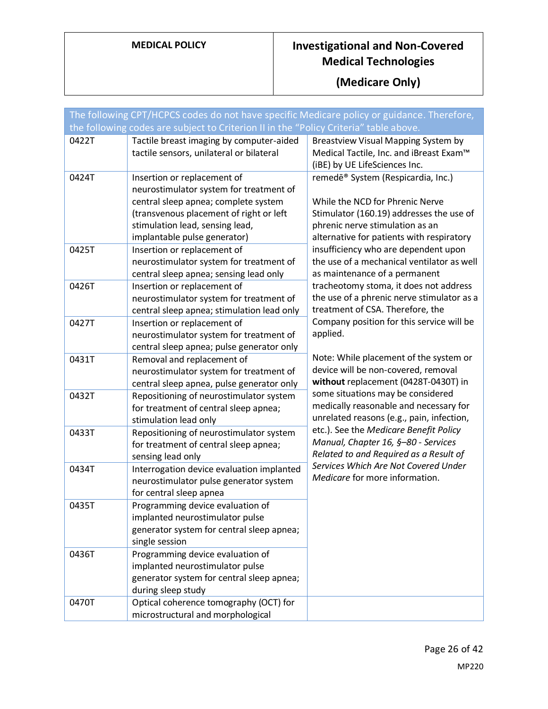|                | The following CPT/HCPCS codes do not have specific Medicare policy or guidance. Therefore,                                                                                                    |                                                                                                                                                             |
|----------------|-----------------------------------------------------------------------------------------------------------------------------------------------------------------------------------------------|-------------------------------------------------------------------------------------------------------------------------------------------------------------|
|                | the following codes are subject to Criterion II in the "Policy Criteria" table above.                                                                                                         |                                                                                                                                                             |
| 0422T<br>0424T | Tactile breast imaging by computer-aided<br>tactile sensors, unilateral or bilateral<br>Insertion or replacement of                                                                           | Breastview Visual Mapping System by<br>Medical Tactile, Inc. and iBreast Exam™<br>(iBE) by UE LifeSciences Inc.<br>remedē® System (Respicardia, Inc.)       |
|                | neurostimulator system for treatment of<br>central sleep apnea; complete system<br>(transvenous placement of right or left<br>stimulation lead, sensing lead,<br>implantable pulse generator) | While the NCD for Phrenic Nerve<br>Stimulator (160.19) addresses the use of<br>phrenic nerve stimulation as an<br>alternative for patients with respiratory |
| 0425T          | Insertion or replacement of<br>neurostimulator system for treatment of<br>central sleep apnea; sensing lead only                                                                              | insufficiency who are dependent upon<br>the use of a mechanical ventilator as well<br>as maintenance of a permanent                                         |
| 0426T          | Insertion or replacement of<br>neurostimulator system for treatment of<br>central sleep apnea; stimulation lead only                                                                          | tracheotomy stoma, it does not address<br>the use of a phrenic nerve stimulator as a<br>treatment of CSA. Therefore, the                                    |
| 0427T          | Insertion or replacement of<br>neurostimulator system for treatment of<br>central sleep apnea; pulse generator only                                                                           | Company position for this service will be<br>applied.                                                                                                       |
| 0431T          | Removal and replacement of<br>neurostimulator system for treatment of<br>central sleep apnea, pulse generator only                                                                            | Note: While placement of the system or<br>device will be non-covered, removal<br>without replacement (0428T-0430T) in                                       |
| 0432T          | Repositioning of neurostimulator system<br>for treatment of central sleep apnea;<br>stimulation lead only                                                                                     | some situations may be considered<br>medically reasonable and necessary for<br>unrelated reasons (e.g., pain, infection,                                    |
| 0433T          | Repositioning of neurostimulator system<br>for treatment of central sleep apnea;<br>sensing lead only                                                                                         | etc.). See the Medicare Benefit Policy<br>Manual, Chapter 16, §-80 - Services<br>Related to and Required as a Result of                                     |
| 0434T          | Interrogation device evaluation implanted<br>neurostimulator pulse generator system<br>for central sleep apnea                                                                                | Services Which Are Not Covered Under<br>Medicare for more information.                                                                                      |
| 0435T          | Programming device evaluation of<br>implanted neurostimulator pulse<br>generator system for central sleep apnea;<br>single session                                                            |                                                                                                                                                             |
| 0436T          | Programming device evaluation of<br>implanted neurostimulator pulse<br>generator system for central sleep apnea;<br>during sleep study                                                        |                                                                                                                                                             |
| 0470T          | Optical coherence tomography (OCT) for<br>microstructural and morphological                                                                                                                   |                                                                                                                                                             |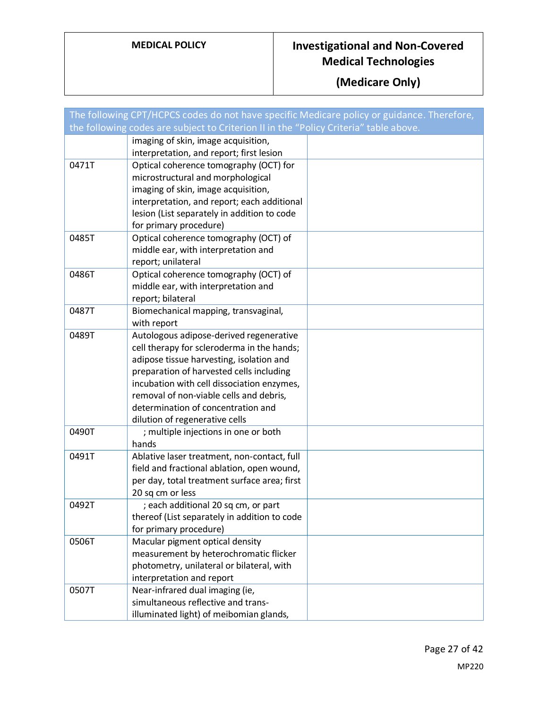|       | The following CPT/HCPCS codes do not have specific Medicare policy or guidance. Therefore, |  |
|-------|--------------------------------------------------------------------------------------------|--|
|       | the following codes are subject to Criterion II in the "Policy Criteria" table above.      |  |
|       | imaging of skin, image acquisition,                                                        |  |
|       | interpretation, and report; first lesion                                                   |  |
| 0471T | Optical coherence tomography (OCT) for                                                     |  |
|       | microstructural and morphological                                                          |  |
|       | imaging of skin, image acquisition,                                                        |  |
|       | interpretation, and report; each additional                                                |  |
|       | lesion (List separately in addition to code                                                |  |
|       | for primary procedure)                                                                     |  |
| 0485T | Optical coherence tomography (OCT) of                                                      |  |
|       | middle ear, with interpretation and                                                        |  |
|       | report; unilateral                                                                         |  |
| 0486T | Optical coherence tomography (OCT) of                                                      |  |
|       | middle ear, with interpretation and                                                        |  |
|       | report; bilateral                                                                          |  |
| 0487T | Biomechanical mapping, transvaginal,                                                       |  |
|       | with report                                                                                |  |
| 0489T | Autologous adipose-derived regenerative                                                    |  |
|       | cell therapy for scleroderma in the hands;                                                 |  |
|       | adipose tissue harvesting, isolation and                                                   |  |
|       | preparation of harvested cells including                                                   |  |
|       | incubation with cell dissociation enzymes,                                                 |  |
|       | removal of non-viable cells and debris,                                                    |  |
|       | determination of concentration and                                                         |  |
|       | dilution of regenerative cells                                                             |  |
| 0490T | ; multiple injections in one or both                                                       |  |
|       | hands                                                                                      |  |
| 0491T | Ablative laser treatment, non-contact, full                                                |  |
|       | field and fractional ablation, open wound,                                                 |  |
|       | per day, total treatment surface area; first                                               |  |
|       | 20 sq cm or less                                                                           |  |
| 0492T | ; each additional 20 sq cm, or part                                                        |  |
|       | thereof (List separately in addition to code                                               |  |
|       | for primary procedure)                                                                     |  |
| 0506T | Macular pigment optical density                                                            |  |
|       | measurement by heterochromatic flicker                                                     |  |
|       | photometry, unilateral or bilateral, with                                                  |  |
|       | interpretation and report                                                                  |  |
| 0507T | Near-infrared dual imaging (ie,                                                            |  |
|       | simultaneous reflective and trans-                                                         |  |
|       | illuminated light) of meibomian glands,                                                    |  |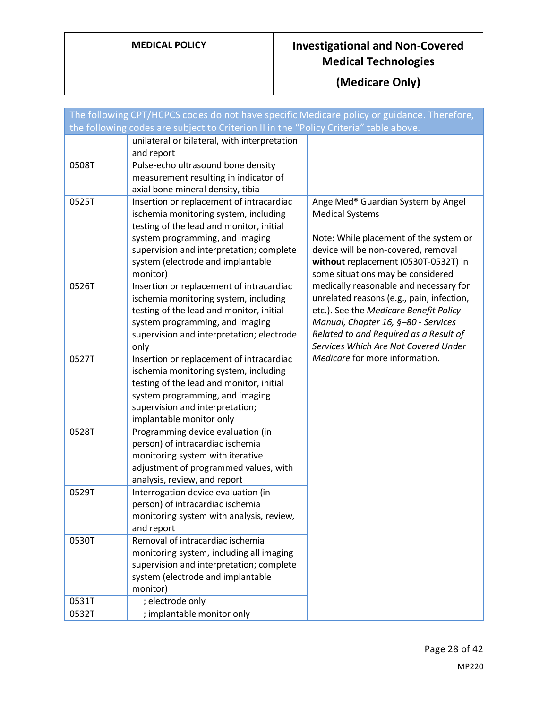|       | The following CPT/HCPCS codes do not have specific Medicare policy or guidance. Therefore,                                                                                                                                                                    |                                                                                                                                                                                                                                                        |
|-------|---------------------------------------------------------------------------------------------------------------------------------------------------------------------------------------------------------------------------------------------------------------|--------------------------------------------------------------------------------------------------------------------------------------------------------------------------------------------------------------------------------------------------------|
|       | the following codes are subject to Criterion II in the "Policy Criteria" table above.                                                                                                                                                                         |                                                                                                                                                                                                                                                        |
|       | unilateral or bilateral, with interpretation<br>and report                                                                                                                                                                                                    |                                                                                                                                                                                                                                                        |
| 0508T | Pulse-echo ultrasound bone density<br>measurement resulting in indicator of<br>axial bone mineral density, tibia                                                                                                                                              |                                                                                                                                                                                                                                                        |
| 0525T | Insertion or replacement of intracardiac<br>ischemia monitoring system, including<br>testing of the lead and monitor, initial<br>system programming, and imaging<br>supervision and interpretation; complete<br>system (electrode and implantable<br>monitor) | AngelMed® Guardian System by Angel<br><b>Medical Systems</b><br>Note: While placement of the system or<br>device will be non-covered, removal<br>without replacement (0530T-0532T) in<br>some situations may be considered                             |
| 0526T | Insertion or replacement of intracardiac<br>ischemia monitoring system, including<br>testing of the lead and monitor, initial<br>system programming, and imaging<br>supervision and interpretation; electrode<br>only                                         | medically reasonable and necessary for<br>unrelated reasons (e.g., pain, infection,<br>etc.). See the Medicare Benefit Policy<br>Manual, Chapter 16, §-80 - Services<br>Related to and Required as a Result of<br>Services Which Are Not Covered Under |
| 0527T | Insertion or replacement of intracardiac<br>ischemia monitoring system, including<br>testing of the lead and monitor, initial<br>system programming, and imaging<br>supervision and interpretation;<br>implantable monitor only                               | Medicare for more information.                                                                                                                                                                                                                         |
| 0528T | Programming device evaluation (in<br>person) of intracardiac ischemia<br>monitoring system with iterative<br>adjustment of programmed values, with<br>analysis, review, and report                                                                            |                                                                                                                                                                                                                                                        |
| 0529T | Interrogation device evaluation (in<br>person) of intracardiac ischemia<br>monitoring system with analysis, review,<br>and report                                                                                                                             |                                                                                                                                                                                                                                                        |
| 0530T | Removal of intracardiac ischemia<br>monitoring system, including all imaging<br>supervision and interpretation; complete<br>system (electrode and implantable<br>monitor)                                                                                     |                                                                                                                                                                                                                                                        |
| 0531T | ; electrode only                                                                                                                                                                                                                                              |                                                                                                                                                                                                                                                        |
| 0532T | ; implantable monitor only                                                                                                                                                                                                                                    |                                                                                                                                                                                                                                                        |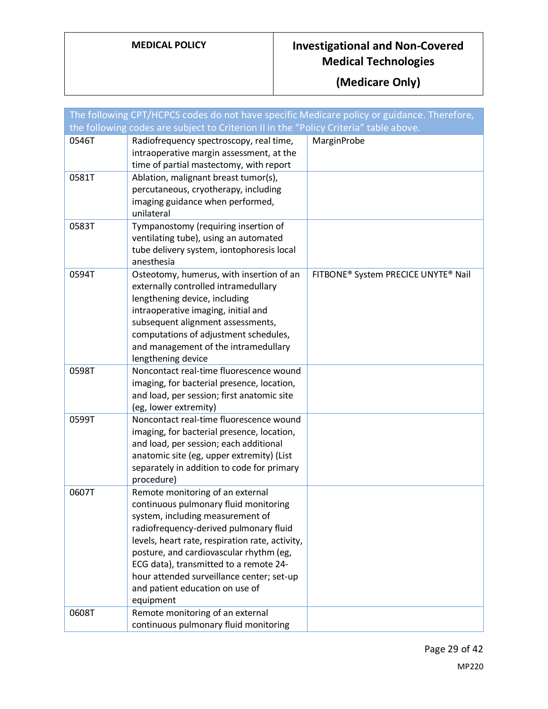|       | The following CPT/HCPCS codes do not have specific Medicare policy or guidance. Therefore,                                                                                                                                                                                                                                                                                                   |                                     |
|-------|----------------------------------------------------------------------------------------------------------------------------------------------------------------------------------------------------------------------------------------------------------------------------------------------------------------------------------------------------------------------------------------------|-------------------------------------|
|       | the following codes are subject to Criterion II in the "Policy Criteria" table above.                                                                                                                                                                                                                                                                                                        |                                     |
| 0546T | Radiofrequency spectroscopy, real time,<br>intraoperative margin assessment, at the<br>time of partial mastectomy, with report                                                                                                                                                                                                                                                               | MarginProbe                         |
| 0581T | Ablation, malignant breast tumor(s),<br>percutaneous, cryotherapy, including<br>imaging guidance when performed,<br>unilateral                                                                                                                                                                                                                                                               |                                     |
| 0583T | Tympanostomy (requiring insertion of<br>ventilating tube), using an automated<br>tube delivery system, iontophoresis local<br>anesthesia                                                                                                                                                                                                                                                     |                                     |
| 0594T | Osteotomy, humerus, with insertion of an<br>externally controlled intramedullary<br>lengthening device, including<br>intraoperative imaging, initial and<br>subsequent alignment assessments,<br>computations of adjustment schedules,<br>and management of the intramedullary<br>lengthening device                                                                                         | FITBONE® System PRECICE UNYTE® Nail |
| 0598T | Noncontact real-time fluorescence wound<br>imaging, for bacterial presence, location,<br>and load, per session; first anatomic site<br>(eg, lower extremity)                                                                                                                                                                                                                                 |                                     |
| 0599T | Noncontact real-time fluorescence wound<br>imaging, for bacterial presence, location,<br>and load, per session; each additional<br>anatomic site (eg, upper extremity) (List<br>separately in addition to code for primary<br>procedure)                                                                                                                                                     |                                     |
| 0607T | Remote monitoring of an external<br>continuous pulmonary fluid monitoring<br>system, including measurement of<br>radiofrequency-derived pulmonary fluid<br>levels, heart rate, respiration rate, activity,<br>posture, and cardiovascular rhythm (eg,<br>ECG data), transmitted to a remote 24-<br>hour attended surveillance center; set-up<br>and patient education on use of<br>equipment |                                     |
| 0608T | Remote monitoring of an external<br>continuous pulmonary fluid monitoring                                                                                                                                                                                                                                                                                                                    |                                     |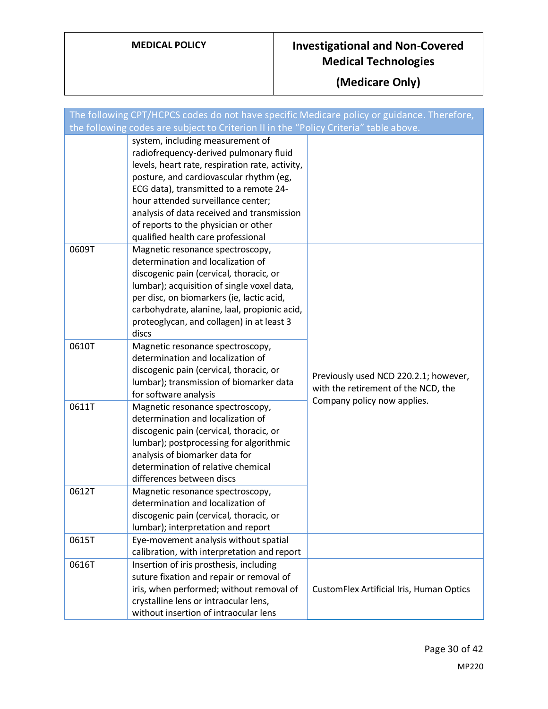|       | The following CPT/HCPCS codes do not have specific Medicare policy or guidance. Therefore,                                                                                                                                                                                                                                                                                           |                                                                              |
|-------|--------------------------------------------------------------------------------------------------------------------------------------------------------------------------------------------------------------------------------------------------------------------------------------------------------------------------------------------------------------------------------------|------------------------------------------------------------------------------|
|       | the following codes are subject to Criterion II in the "Policy Criteria" table above.                                                                                                                                                                                                                                                                                                |                                                                              |
|       | system, including measurement of<br>radiofrequency-derived pulmonary fluid<br>levels, heart rate, respiration rate, activity,<br>posture, and cardiovascular rhythm (eg,<br>ECG data), transmitted to a remote 24-<br>hour attended surveillance center;<br>analysis of data received and transmission<br>of reports to the physician or other<br>qualified health care professional |                                                                              |
| 0609T | Magnetic resonance spectroscopy,<br>determination and localization of<br>discogenic pain (cervical, thoracic, or<br>lumbar); acquisition of single voxel data,<br>per disc, on biomarkers (ie, lactic acid,<br>carbohydrate, alanine, laal, propionic acid,<br>proteoglycan, and collagen) in at least 3<br>discs                                                                    |                                                                              |
| 0610T | Magnetic resonance spectroscopy,<br>determination and localization of<br>discogenic pain (cervical, thoracic, or<br>lumbar); transmission of biomarker data<br>for software analysis                                                                                                                                                                                                 | Previously used NCD 220.2.1; however,<br>with the retirement of the NCD, the |
| 0611T | Magnetic resonance spectroscopy,<br>determination and localization of<br>discogenic pain (cervical, thoracic, or<br>lumbar); postprocessing for algorithmic<br>analysis of biomarker data for<br>determination of relative chemical<br>differences between discs                                                                                                                     | Company policy now applies.                                                  |
| 0612T | Magnetic resonance spectroscopy,<br>determination and localization of<br>discogenic pain (cervical, thoracic, or<br>lumbar); interpretation and report                                                                                                                                                                                                                               |                                                                              |
| 0615T | Eye-movement analysis without spatial<br>calibration, with interpretation and report                                                                                                                                                                                                                                                                                                 |                                                                              |
| 0616T | Insertion of iris prosthesis, including<br>suture fixation and repair or removal of<br>iris, when performed; without removal of<br>crystalline lens or intraocular lens,<br>without insertion of intraocular lens                                                                                                                                                                    | CustomFlex Artificial Iris, Human Optics                                     |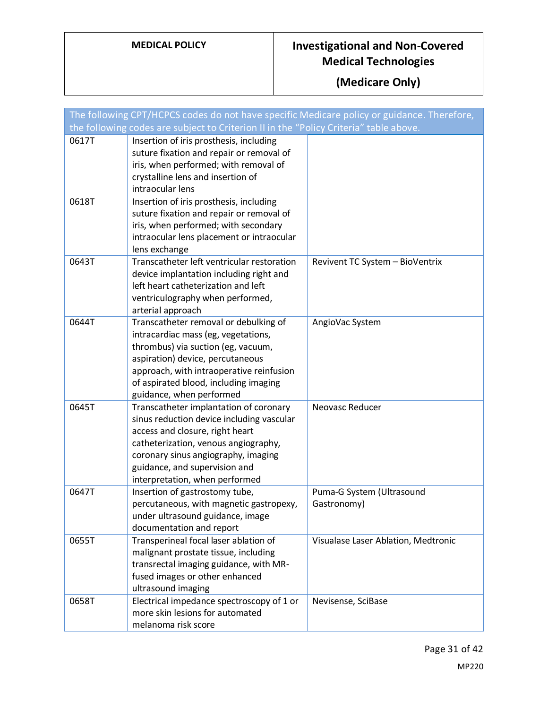|       | The following CPT/HCPCS codes do not have specific Medicare policy or guidance. Therefore,<br>the following codes are subject to Criterion II in the "Policy Criteria" table above.                                                                                      |                                          |
|-------|--------------------------------------------------------------------------------------------------------------------------------------------------------------------------------------------------------------------------------------------------------------------------|------------------------------------------|
| 0617T | Insertion of iris prosthesis, including<br>suture fixation and repair or removal of<br>iris, when performed; with removal of<br>crystalline lens and insertion of<br>intraocular lens                                                                                    |                                          |
| 0618T | Insertion of iris prosthesis, including<br>suture fixation and repair or removal of<br>iris, when performed; with secondary<br>intraocular lens placement or intraocular<br>lens exchange                                                                                |                                          |
| 0643T | Transcatheter left ventricular restoration<br>device implantation including right and<br>left heart catheterization and left<br>ventriculography when performed,<br>arterial approach                                                                                    | Revivent TC System - BioVentrix          |
| 0644T | Transcatheter removal or debulking of<br>intracardiac mass (eg, vegetations,<br>thrombus) via suction (eg, vacuum,<br>aspiration) device, percutaneous<br>approach, with intraoperative reinfusion<br>of aspirated blood, including imaging<br>guidance, when performed  | AngioVac System                          |
| 0645T | Transcatheter implantation of coronary<br>sinus reduction device including vascular<br>access and closure, right heart<br>catheterization, venous angiography,<br>coronary sinus angiography, imaging<br>guidance, and supervision and<br>interpretation, when performed | Neovasc Reducer                          |
| 0647T | Insertion of gastrostomy tube,<br>percutaneous, with magnetic gastropexy,<br>under ultrasound guidance, image<br>documentation and report                                                                                                                                | Puma-G System (Ultrasound<br>Gastronomy) |
| 0655T | Transperineal focal laser ablation of<br>malignant prostate tissue, including<br>transrectal imaging guidance, with MR-<br>fused images or other enhanced<br>ultrasound imaging                                                                                          | Visualase Laser Ablation, Medtronic      |
| 0658T | Electrical impedance spectroscopy of 1 or<br>more skin lesions for automated<br>melanoma risk score                                                                                                                                                                      | Nevisense, SciBase                       |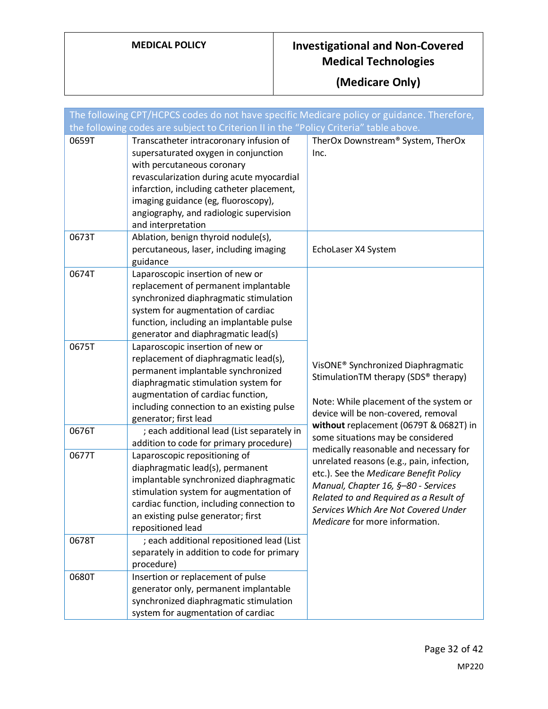|                | The following CPT/HCPCS codes do not have specific Medicare policy or guidance. Therefore,<br>the following codes are subject to Criterion II in the "Policy Criteria" table above.                                                                                                                                                                    |                                                                                                                                                                                                                                                                                                                                                                         |
|----------------|--------------------------------------------------------------------------------------------------------------------------------------------------------------------------------------------------------------------------------------------------------------------------------------------------------------------------------------------------------|-------------------------------------------------------------------------------------------------------------------------------------------------------------------------------------------------------------------------------------------------------------------------------------------------------------------------------------------------------------------------|
| 0659T          | Transcatheter intracoronary infusion of<br>supersaturated oxygen in conjunction<br>with percutaneous coronary<br>revascularization during acute myocardial<br>infarction, including catheter placement,<br>imaging guidance (eg, fluoroscopy),<br>angiography, and radiologic supervision<br>and interpretation                                        | TherOx Downstream® System, TherOx<br>Inc.                                                                                                                                                                                                                                                                                                                               |
| 0673T          | Ablation, benign thyroid nodule(s),<br>percutaneous, laser, including imaging<br>guidance                                                                                                                                                                                                                                                              | EchoLaser X4 System                                                                                                                                                                                                                                                                                                                                                     |
| 0674T          | Laparoscopic insertion of new or<br>replacement of permanent implantable<br>synchronized diaphragmatic stimulation<br>system for augmentation of cardiac<br>function, including an implantable pulse<br>generator and diaphragmatic lead(s)                                                                                                            |                                                                                                                                                                                                                                                                                                                                                                         |
| 0675T          | Laparoscopic insertion of new or<br>replacement of diaphragmatic lead(s),<br>permanent implantable synchronized<br>diaphragmatic stimulation system for<br>augmentation of cardiac function,<br>including connection to an existing pulse<br>generator; first lead                                                                                     | VisONE <sup>®</sup> Synchronized Diaphragmatic<br>StimulationTM therapy (SDS® therapy)<br>Note: While placement of the system or<br>device will be non-covered, removal                                                                                                                                                                                                 |
| 0676T<br>0677T | ; each additional lead (List separately in<br>addition to code for primary procedure)<br>Laparoscopic repositioning of<br>diaphragmatic lead(s), permanent<br>implantable synchronized diaphragmatic<br>stimulation system for augmentation of<br>cardiac function, including connection to<br>an existing pulse generator; first<br>repositioned lead | without replacement (0679T & 0682T) in<br>some situations may be considered<br>medically reasonable and necessary for<br>unrelated reasons (e.g., pain, infection,<br>etc.). See the Medicare Benefit Policy<br>Manual, Chapter 16, §-80 - Services<br>Related to and Required as a Result of<br>Services Which Are Not Covered Under<br>Medicare for more information. |
| 0678T          | ; each additional repositioned lead (List<br>separately in addition to code for primary<br>procedure)                                                                                                                                                                                                                                                  |                                                                                                                                                                                                                                                                                                                                                                         |
| 0680T          | Insertion or replacement of pulse<br>generator only, permanent implantable<br>synchronized diaphragmatic stimulation<br>system for augmentation of cardiac                                                                                                                                                                                             |                                                                                                                                                                                                                                                                                                                                                                         |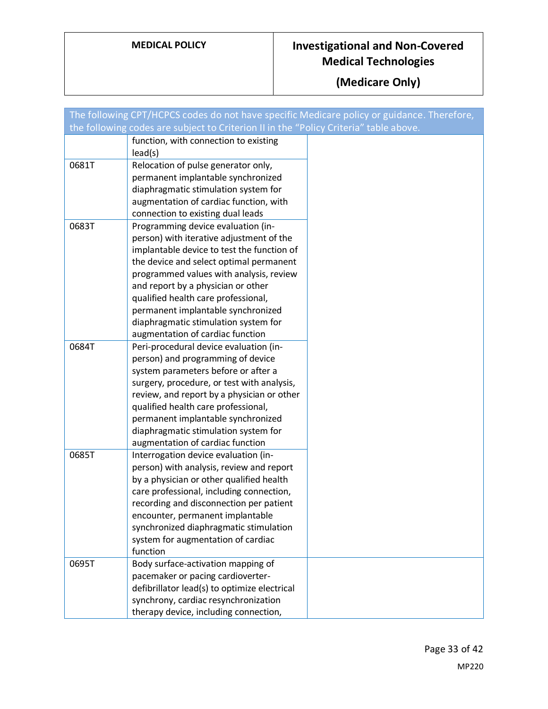|       | The following CPT/HCPCS codes do not have specific Medicare policy or guidance. Therefore, |  |
|-------|--------------------------------------------------------------------------------------------|--|
|       | the following codes are subject to Criterion II in the "Policy Criteria" table above.      |  |
|       | function, with connection to existing                                                      |  |
|       | lead(s)                                                                                    |  |
| 0681T | Relocation of pulse generator only,                                                        |  |
|       | permanent implantable synchronized                                                         |  |
|       | diaphragmatic stimulation system for                                                       |  |
|       | augmentation of cardiac function, with                                                     |  |
|       | connection to existing dual leads                                                          |  |
| 0683T | Programming device evaluation (in-                                                         |  |
|       | person) with iterative adjustment of the                                                   |  |
|       | implantable device to test the function of                                                 |  |
|       | the device and select optimal permanent                                                    |  |
|       | programmed values with analysis, review                                                    |  |
|       | and report by a physician or other                                                         |  |
|       | qualified health care professional,                                                        |  |
|       | permanent implantable synchronized                                                         |  |
|       | diaphragmatic stimulation system for                                                       |  |
|       | augmentation of cardiac function                                                           |  |
| 0684T | Peri-procedural device evaluation (in-                                                     |  |
|       | person) and programming of device                                                          |  |
|       | system parameters before or after a                                                        |  |
|       | surgery, procedure, or test with analysis,                                                 |  |
|       | review, and report by a physician or other                                                 |  |
|       | qualified health care professional,                                                        |  |
|       | permanent implantable synchronized                                                         |  |
|       | diaphragmatic stimulation system for                                                       |  |
|       | augmentation of cardiac function                                                           |  |
| 0685T | Interrogation device evaluation (in-                                                       |  |
|       | person) with analysis, review and report                                                   |  |
|       | by a physician or other qualified health                                                   |  |
|       | care professional, including connection,                                                   |  |
|       | recording and disconnection per patient                                                    |  |
|       | encounter, permanent implantable                                                           |  |
|       | synchronized diaphragmatic stimulation                                                     |  |
|       | system for augmentation of cardiac                                                         |  |
|       | function                                                                                   |  |
| 0695T | Body surface-activation mapping of                                                         |  |
|       | pacemaker or pacing cardioverter-                                                          |  |
|       | defibrillator lead(s) to optimize electrical                                               |  |
|       | synchrony, cardiac resynchronization                                                       |  |
|       | therapy device, including connection,                                                      |  |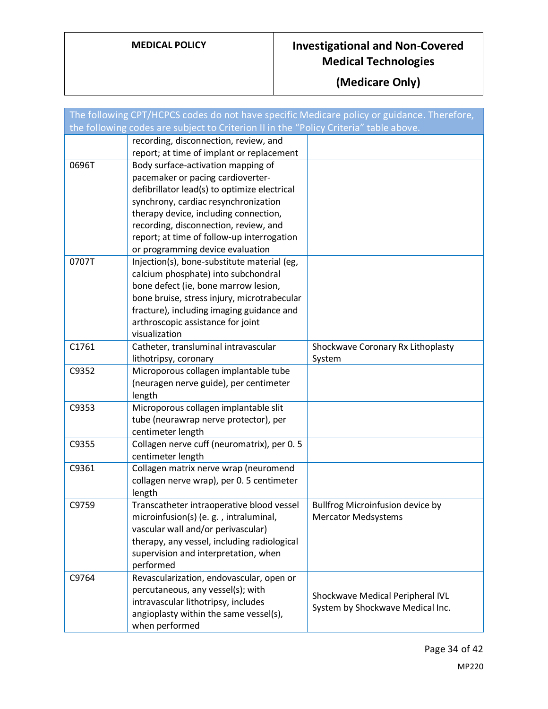|       | The following CPT/HCPCS codes do not have specific Medicare policy or guidance. Therefore, |                                   |
|-------|--------------------------------------------------------------------------------------------|-----------------------------------|
|       | the following codes are subject to Criterion II in the "Policy Criteria" table above.      |                                   |
|       | recording, disconnection, review, and                                                      |                                   |
|       | report; at time of implant or replacement                                                  |                                   |
| 0696T | Body surface-activation mapping of                                                         |                                   |
|       | pacemaker or pacing cardioverter-                                                          |                                   |
|       | defibrillator lead(s) to optimize electrical                                               |                                   |
|       | synchrony, cardiac resynchronization                                                       |                                   |
|       | therapy device, including connection,                                                      |                                   |
|       | recording, disconnection, review, and                                                      |                                   |
|       | report; at time of follow-up interrogation                                                 |                                   |
| 0707T | or programming device evaluation<br>Injection(s), bone-substitute material (eg,            |                                   |
|       | calcium phosphate) into subchondral                                                        |                                   |
|       | bone defect (ie, bone marrow lesion,                                                       |                                   |
|       | bone bruise, stress injury, microtrabecular                                                |                                   |
|       | fracture), including imaging guidance and                                                  |                                   |
|       | arthroscopic assistance for joint                                                          |                                   |
|       | visualization                                                                              |                                   |
| C1761 | Catheter, transluminal intravascular                                                       | Shockwave Coronary Rx Lithoplasty |
|       | lithotripsy, coronary                                                                      | System                            |
| C9352 | Microporous collagen implantable tube                                                      |                                   |
|       | (neuragen nerve guide), per centimeter                                                     |                                   |
|       | length                                                                                     |                                   |
| C9353 | Microporous collagen implantable slit                                                      |                                   |
|       | tube (neurawrap nerve protector), per                                                      |                                   |
|       | centimeter length                                                                          |                                   |
| C9355 | Collagen nerve cuff (neuromatrix), per 0.5<br>centimeter length                            |                                   |
| C9361 | Collagen matrix nerve wrap (neuromend                                                      |                                   |
|       | collagen nerve wrap), per 0.5 centimeter                                                   |                                   |
|       | length                                                                                     |                                   |
| C9759 | Transcatheter intraoperative blood vessel                                                  | Bullfrog Microinfusion device by  |
|       | microinfusion(s) (e. g., intraluminal,                                                     | <b>Mercator Medsystems</b>        |
|       | vascular wall and/or perivascular)                                                         |                                   |
|       | therapy, any vessel, including radiological                                                |                                   |
|       | supervision and interpretation, when                                                       |                                   |
|       | performed                                                                                  |                                   |
| C9764 | Revascularization, endovascular, open or                                                   |                                   |
|       | percutaneous, any vessel(s); with                                                          | Shockwave Medical Peripheral IVL  |
|       | intravascular lithotripsy, includes                                                        | System by Shockwave Medical Inc.  |
|       | angioplasty within the same vessel(s),                                                     |                                   |
|       | when performed                                                                             |                                   |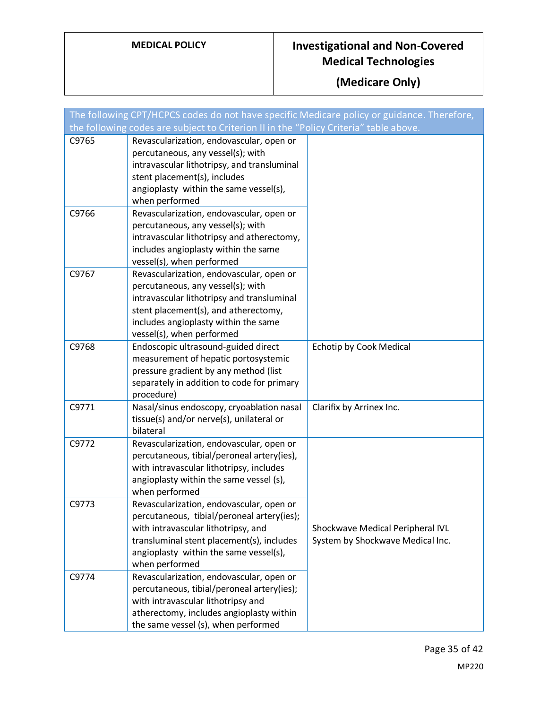|       | The following CPT/HCPCS codes do not have specific Medicare policy or guidance. Therefore, |                                  |
|-------|--------------------------------------------------------------------------------------------|----------------------------------|
|       | the following codes are subject to Criterion II in the "Policy Criteria" table above.      |                                  |
| C9765 | Revascularization, endovascular, open or                                                   |                                  |
|       | percutaneous, any vessel(s); with                                                          |                                  |
|       | intravascular lithotripsy, and transluminal                                                |                                  |
|       | stent placement(s), includes                                                               |                                  |
|       | angioplasty within the same vessel(s),                                                     |                                  |
|       | when performed                                                                             |                                  |
| C9766 | Revascularization, endovascular, open or                                                   |                                  |
|       | percutaneous, any vessel(s); with                                                          |                                  |
|       | intravascular lithotripsy and atherectomy,                                                 |                                  |
|       | includes angioplasty within the same                                                       |                                  |
|       | vessel(s), when performed                                                                  |                                  |
| C9767 | Revascularization, endovascular, open or                                                   |                                  |
|       | percutaneous, any vessel(s); with                                                          |                                  |
|       | intravascular lithotripsy and transluminal                                                 |                                  |
|       | stent placement(s), and atherectomy,                                                       |                                  |
|       | includes angioplasty within the same                                                       |                                  |
|       | vessel(s), when performed                                                                  |                                  |
| C9768 | Endoscopic ultrasound-guided direct                                                        | <b>Echotip by Cook Medical</b>   |
|       | measurement of hepatic portosystemic                                                       |                                  |
|       | pressure gradient by any method (list                                                      |                                  |
|       | separately in addition to code for primary                                                 |                                  |
|       | procedure)                                                                                 |                                  |
| C9771 | Nasal/sinus endoscopy, cryoablation nasal                                                  | Clarifix by Arrinex Inc.         |
|       | tissue(s) and/or nerve(s), unilateral or                                                   |                                  |
|       | bilateral                                                                                  |                                  |
| C9772 | Revascularization, endovascular, open or                                                   |                                  |
|       | percutaneous, tibial/peroneal artery(ies),                                                 |                                  |
|       | with intravascular lithotripsy, includes                                                   |                                  |
|       | angioplasty within the same vessel (s),                                                    |                                  |
|       | when performed                                                                             |                                  |
| C9773 | Revascularization, endovascular, open or                                                   |                                  |
|       | percutaneous, tibial/peroneal artery(ies);                                                 |                                  |
|       | with intravascular lithotripsy, and                                                        | Shockwave Medical Peripheral IVL |
|       | transluminal stent placement(s), includes                                                  | System by Shockwave Medical Inc. |
|       | angioplasty within the same vessel(s),                                                     |                                  |
|       | when performed                                                                             |                                  |
| C9774 | Revascularization, endovascular, open or                                                   |                                  |
|       | percutaneous, tibial/peroneal artery(ies);                                                 |                                  |
|       | with intravascular lithotripsy and                                                         |                                  |
|       | atherectomy, includes angioplasty within                                                   |                                  |
|       | the same vessel (s), when performed                                                        |                                  |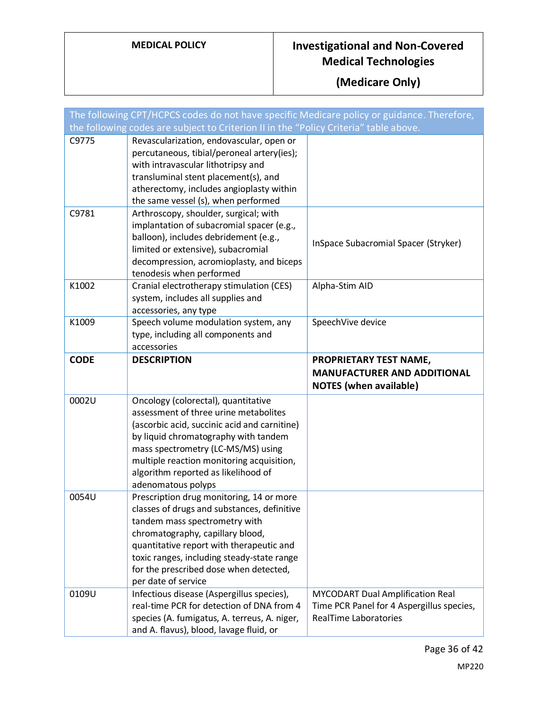|             | The following CPT/HCPCS codes do not have specific Medicare policy or guidance. Therefore, |                                                                                      |
|-------------|--------------------------------------------------------------------------------------------|--------------------------------------------------------------------------------------|
|             | the following codes are subject to Criterion II in the "Policy Criteria" table above.      |                                                                                      |
| C9775       | Revascularization, endovascular, open or<br>percutaneous, tibial/peroneal artery(ies);     |                                                                                      |
|             | with intravascular lithotripsy and                                                         |                                                                                      |
|             | transluminal stent placement(s), and                                                       |                                                                                      |
|             | atherectomy, includes angioplasty within                                                   |                                                                                      |
|             | the same vessel (s), when performed                                                        |                                                                                      |
| C9781       | Arthroscopy, shoulder, surgical; with                                                      |                                                                                      |
|             | implantation of subacromial spacer (e.g.,                                                  |                                                                                      |
|             | balloon), includes debridement (e.g.,                                                      | InSpace Subacromial Spacer (Stryker)                                                 |
|             | limited or extensive), subacromial                                                         |                                                                                      |
|             | decompression, acromioplasty, and biceps<br>tenodesis when performed                       |                                                                                      |
| K1002       | Cranial electrotherapy stimulation (CES)                                                   | Alpha-Stim AID                                                                       |
|             | system, includes all supplies and                                                          |                                                                                      |
|             | accessories, any type                                                                      |                                                                                      |
| K1009       | Speech volume modulation system, any                                                       | SpeechVive device                                                                    |
|             | type, including all components and                                                         |                                                                                      |
|             | accessories                                                                                |                                                                                      |
| <b>CODE</b> | <b>DESCRIPTION</b>                                                                         | PROPRIETARY TEST NAME,                                                               |
|             |                                                                                            | <b>MANUFACTURER AND ADDITIONAL</b><br><b>NOTES</b> (when available)                  |
| 0002U       | Oncology (colorectal), quantitative                                                        |                                                                                      |
|             | assessment of three urine metabolites                                                      |                                                                                      |
|             | (ascorbic acid, succinic acid and carnitine)                                               |                                                                                      |
|             | by liquid chromatography with tandem                                                       |                                                                                      |
|             | mass spectrometry (LC-MS/MS) using                                                         |                                                                                      |
|             | multiple reaction monitoring acquisition,                                                  |                                                                                      |
|             | algorithm reported as likelihood of<br>adenomatous polyps                                  |                                                                                      |
| 0054U       | Prescription drug monitoring, 14 or more                                                   |                                                                                      |
|             | classes of drugs and substances, definitive                                                |                                                                                      |
|             | tandem mass spectrometry with                                                              |                                                                                      |
|             | chromatography, capillary blood,                                                           |                                                                                      |
|             | quantitative report with therapeutic and                                                   |                                                                                      |
|             | toxic ranges, including steady-state range                                                 |                                                                                      |
|             | for the prescribed dose when detected,                                                     |                                                                                      |
|             | per date of service                                                                        |                                                                                      |
| 0109U       | Infectious disease (Aspergillus species),<br>real-time PCR for detection of DNA from 4     | <b>MYCODART Dual Amplification Real</b><br>Time PCR Panel for 4 Aspergillus species, |
|             | species (A. fumigatus, A. terreus, A. niger,                                               | <b>RealTime Laboratories</b>                                                         |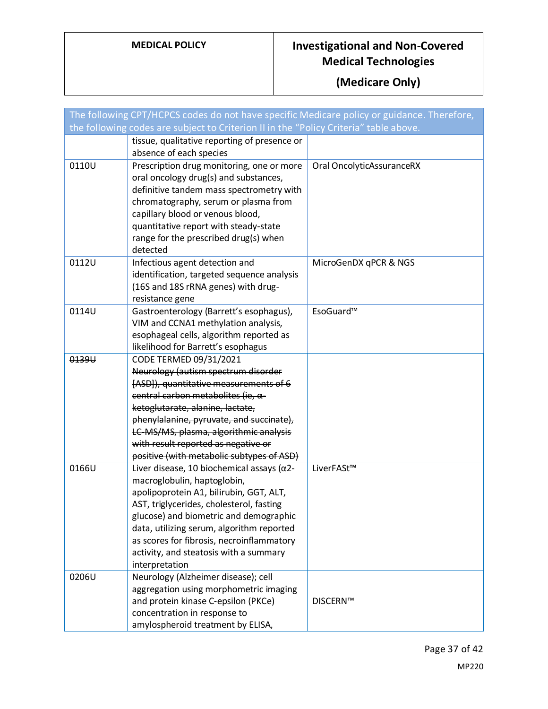| The following CPT/HCPCS codes do not have specific Medicare policy or guidance. Therefore, |                                                                                                                                                                                                                                                                                                                                                                          |                           |  |
|--------------------------------------------------------------------------------------------|--------------------------------------------------------------------------------------------------------------------------------------------------------------------------------------------------------------------------------------------------------------------------------------------------------------------------------------------------------------------------|---------------------------|--|
| the following codes are subject to Criterion II in the "Policy Criteria" table above.      |                                                                                                                                                                                                                                                                                                                                                                          |                           |  |
|                                                                                            | tissue, qualitative reporting of presence or<br>absence of each species                                                                                                                                                                                                                                                                                                  |                           |  |
| 0110U                                                                                      | Prescription drug monitoring, one or more<br>oral oncology drug(s) and substances,<br>definitive tandem mass spectrometry with<br>chromatography, serum or plasma from<br>capillary blood or venous blood,<br>quantitative report with steady-state<br>range for the prescribed drug(s) when<br>detected                                                                 | Oral OncolyticAssuranceRX |  |
| 0112U                                                                                      | Infectious agent detection and<br>identification, targeted sequence analysis<br>(16S and 18S rRNA genes) with drug-<br>resistance gene                                                                                                                                                                                                                                   | MicroGenDX qPCR & NGS     |  |
| 0114U                                                                                      | Gastroenterology (Barrett's esophagus),<br>VIM and CCNA1 methylation analysis,<br>esophageal cells, algorithm reported as<br>likelihood for Barrett's esophagus                                                                                                                                                                                                          | EsoGuard™                 |  |
| 0139U                                                                                      | CODE TERMED 09/31/2021<br>Neurology (autism spectrum disorder<br>[ASD]), quantitative measurements of 6<br>central carbon metabolites (ie, $\alpha$ -<br>ketoglutarate, alanine, lactate,<br>phenylalanine, pyruvate, and succinate),<br>LC-MS/MS, plasma, algorithmic analysis<br>with result reported as negative or<br>positive (with metabolic subtypes of ASD)      |                           |  |
| 0166U                                                                                      | Liver disease, 10 biochemical assays ( $\alpha$ 2-<br>macroglobulin, haptoglobin,<br>apolipoprotein A1, bilirubin, GGT, ALT,<br>AST, triglycerides, cholesterol, fasting<br>glucose) and biometric and demographic<br>data, utilizing serum, algorithm reported<br>as scores for fibrosis, necroinflammatory<br>activity, and steatosis with a summary<br>interpretation | LiverFASt™                |  |
| 0206U                                                                                      | Neurology (Alzheimer disease); cell<br>aggregation using morphometric imaging<br>and protein kinase C-epsilon (PKCe)<br>concentration in response to<br>amylospheroid treatment by ELISA,                                                                                                                                                                                | <b>DISCERN™</b>           |  |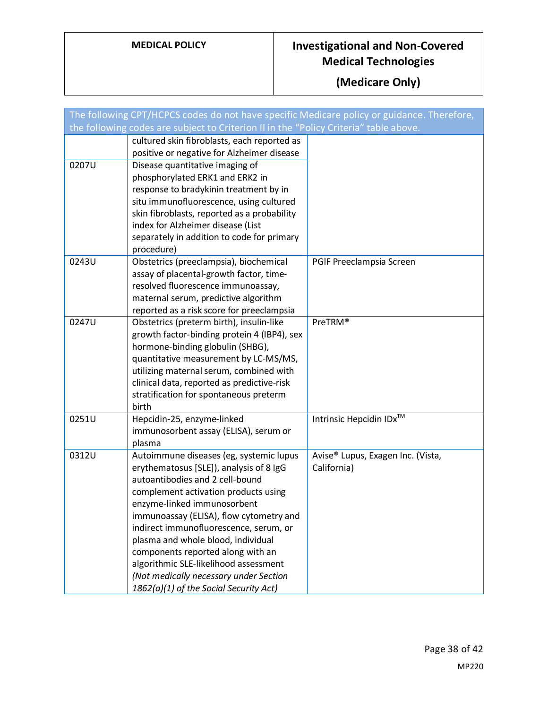| The following CPT/HCPCS codes do not have specific Medicare policy or guidance. Therefore, |                                                                                           |                                               |  |
|--------------------------------------------------------------------------------------------|-------------------------------------------------------------------------------------------|-----------------------------------------------|--|
| the following codes are subject to Criterion II in the "Policy Criteria" table above.      |                                                                                           |                                               |  |
|                                                                                            | cultured skin fibroblasts, each reported as<br>positive or negative for Alzheimer disease |                                               |  |
| 0207U                                                                                      | Disease quantitative imaging of                                                           |                                               |  |
|                                                                                            | phosphorylated ERK1 and ERK2 in                                                           |                                               |  |
|                                                                                            | response to bradykinin treatment by in                                                    |                                               |  |
|                                                                                            | situ immunofluorescence, using cultured                                                   |                                               |  |
|                                                                                            | skin fibroblasts, reported as a probability                                               |                                               |  |
|                                                                                            | index for Alzheimer disease (List                                                         |                                               |  |
|                                                                                            | separately in addition to code for primary<br>procedure)                                  |                                               |  |
| 0243U                                                                                      | Obstetrics (preeclampsia), biochemical                                                    | PGIF Preeclampsia Screen                      |  |
|                                                                                            | assay of placental-growth factor, time-                                                   |                                               |  |
|                                                                                            | resolved fluorescence immunoassay,                                                        |                                               |  |
|                                                                                            | maternal serum, predictive algorithm                                                      |                                               |  |
|                                                                                            | reported as a risk score for preeclampsia                                                 |                                               |  |
| 0247U                                                                                      | Obstetrics (preterm birth), insulin-like                                                  | PreTRM®                                       |  |
|                                                                                            | growth factor-binding protein 4 (IBP4), sex<br>hormone-binding globulin (SHBG),           |                                               |  |
|                                                                                            | quantitative measurement by LC-MS/MS,                                                     |                                               |  |
|                                                                                            | utilizing maternal serum, combined with                                                   |                                               |  |
|                                                                                            | clinical data, reported as predictive-risk                                                |                                               |  |
|                                                                                            | stratification for spontaneous preterm                                                    |                                               |  |
|                                                                                            | birth                                                                                     |                                               |  |
| 0251U                                                                                      | Hepcidin-25, enzyme-linked                                                                | Intrinsic Hepcidin IDx™                       |  |
|                                                                                            | immunosorbent assay (ELISA), serum or                                                     |                                               |  |
| 0312U                                                                                      | plasma<br>Autoimmune diseases (eg, systemic lupus                                         | Avise <sup>®</sup> Lupus, Exagen Inc. (Vista, |  |
|                                                                                            | erythematosus [SLE]), analysis of 8 IgG                                                   | California)                                   |  |
|                                                                                            | autoantibodies and 2 cell-bound                                                           |                                               |  |
|                                                                                            | complement activation products using                                                      |                                               |  |
|                                                                                            | enzyme-linked immunosorbent                                                               |                                               |  |
|                                                                                            | immunoassay (ELISA), flow cytometry and                                                   |                                               |  |
|                                                                                            | indirect immunofluorescence, serum, or                                                    |                                               |  |
|                                                                                            | plasma and whole blood, individual                                                        |                                               |  |
|                                                                                            | components reported along with an<br>algorithmic SLE-likelihood assessment                |                                               |  |
|                                                                                            | (Not medically necessary under Section                                                    |                                               |  |
|                                                                                            | 1862(a)(1) of the Social Security Act)                                                    |                                               |  |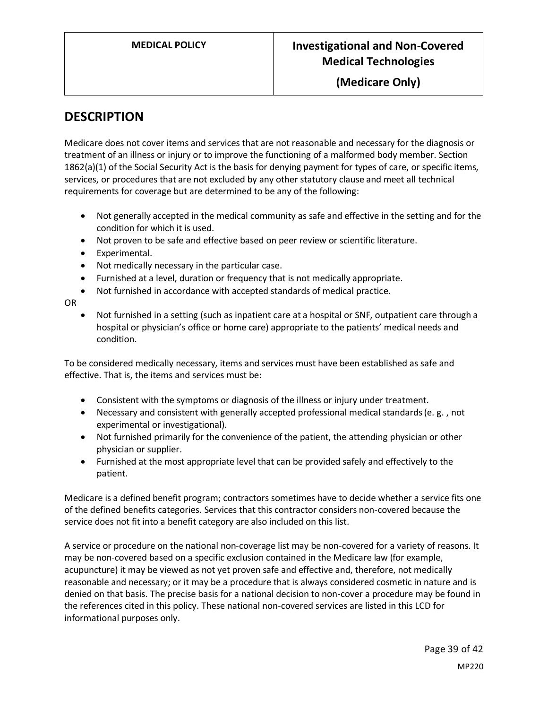**(Medicare Only)**

#### **DESCRIPTION**

Medicare does not cover items and services that are not reasonable and necessary for the diagnosis or treatment of an illness or injury or to improve the functioning of a malformed body member. Section 1862(a)(1) of the Social Security Act is the basis for denying payment for types of care, or specific items, services, or procedures that are not excluded by any other statutory clause and meet all technical requirements for coverage but are determined to be any of the following:

- Not generally accepted in the medical community as safe and effective in the setting and for the condition for which it is used.
- Not proven to be safe and effective based on peer review or scientific literature.
- Experimental.
- Not medically necessary in the particular case.
- Furnished at a level, duration or frequency that is not medically appropriate.
- Not furnished in accordance with accepted standards of medical practice.

OR

• Not furnished in a setting (such as inpatient care at a hospital or SNF, outpatient care through a hospital or physician's office or home care) appropriate to the patients' medical needs and condition.

To be considered medically necessary, items and services must have been established as safe and effective. That is, the items and services must be:

- Consistent with the symptoms or diagnosis of the illness or injury under treatment.
- Necessary and consistent with generally accepted professional medical standards (e. g. , not experimental or investigational).
- Not furnished primarily for the convenience of the patient, the attending physician or other physician or supplier.
- Furnished at the most appropriate level that can be provided safely and effectively to the patient.

Medicare is a defined benefit program; contractors sometimes have to decide whether a service fits one of the defined benefits categories. Services that this contractor considers non-covered because the service does not fit into a benefit category are also included on this list.

A service or procedure on the national non-coverage list may be non-covered for a variety of reasons. It may be non-covered based on a specific exclusion contained in the Medicare law (for example, acupuncture) it may be viewed as not yet proven safe and effective and, therefore, not medically reasonable and necessary; or it may be a procedure that is always considered cosmetic in nature and is denied on that basis. The precise basis for a national decision to non-cover a procedure may be found in the references cited in this policy. These national non-covered services are listed in this LCD for informational purposes only.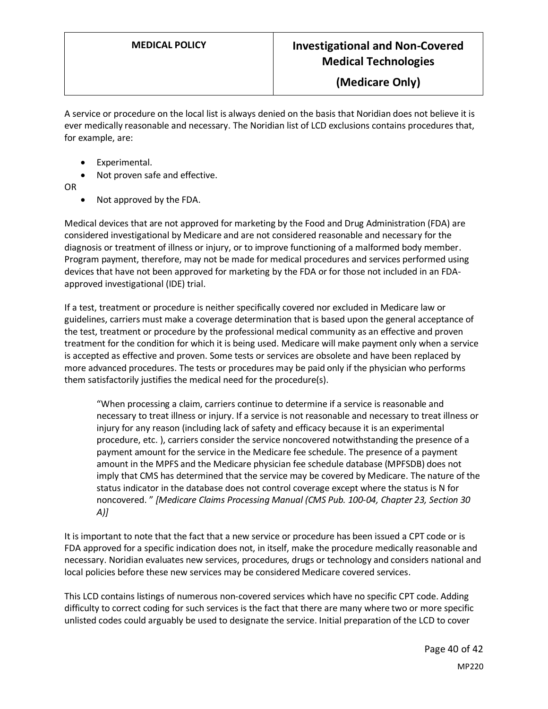#### **(Medicare Only)**

A service or procedure on the local list is always denied on the basis that Noridian does not believe it is ever medically reasonable and necessary. The Noridian list of LCD exclusions contains procedures that, for example, are:

- Experimental.
- Not proven safe and effective.
- OR
	- Not approved by the FDA.

Medical devices that are not approved for marketing by the Food and Drug Administration (FDA) are considered investigational by Medicare and are not considered reasonable and necessary for the diagnosis or treatment of illness or injury, or to improve functioning of a malformed body member. Program payment, therefore, may not be made for medical procedures and services performed using devices that have not been approved for marketing by the FDA or for those not included in an FDAapproved investigational (IDE) trial.

If a test, treatment or procedure is neither specifically covered nor excluded in Medicare law or guidelines, carriers must make a coverage determination that is based upon the general acceptance of the test, treatment or procedure by the professional medical community as an effective and proven treatment for the condition for which it is being used. Medicare will make payment only when a service is accepted as effective and proven. Some tests or services are obsolete and have been replaced by more advanced procedures. The tests or procedures may be paid only if the physician who performs them satisfactorily justifies the medical need for the procedure(s).

"When processing a claim, carriers continue to determine if a service is reasonable and necessary to treat illness or injury. If a service is not reasonable and necessary to treat illness or injury for any reason (including lack of safety and efficacy because it is an experimental procedure, etc. ), carriers consider the service noncovered notwithstanding the presence of a payment amount for the service in the Medicare fee schedule. The presence of a payment amount in the MPFS and the Medicare physician fee schedule database (MPFSDB) does not imply that CMS has determined that the service may be covered by Medicare. The nature of the status indicator in the database does not control coverage except where the status is N for noncovered. " *[Medicare Claims Processing Manual (CMS Pub. 100-04, Chapter 23, Section 30 A)]*

It is important to note that the fact that a new service or procedure has been issued a CPT code or is FDA approved for a specific indication does not, in itself, make the procedure medically reasonable and necessary. Noridian evaluates new services, procedures, drugs or technology and considers national and local policies before these new services may be considered Medicare covered services.

This LCD contains listings of numerous non-covered services which have no specific CPT code. Adding difficulty to correct coding for such services is the fact that there are many where two or more specific unlisted codes could arguably be used to designate the service. Initial preparation of the LCD to cover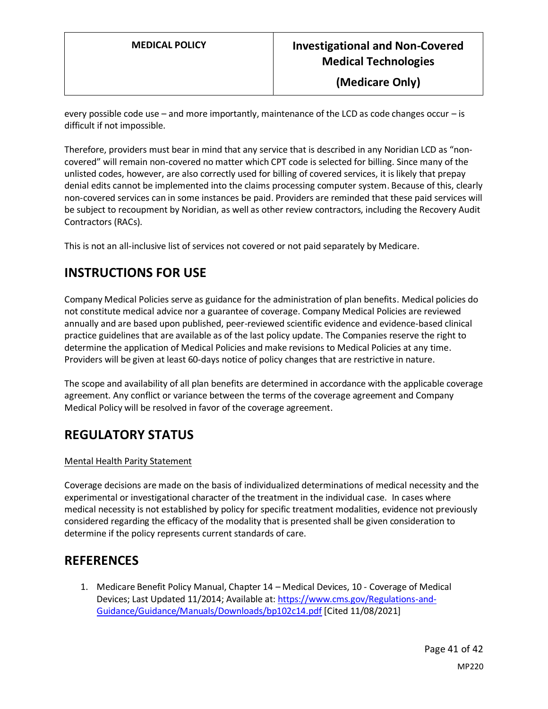**(Medicare Only)**

every possible code use – and more importantly, maintenance of the LCD as code changes occur – is difficult if not impossible.

Therefore, providers must bear in mind that any service that is described in any Noridian LCD as "noncovered" will remain non-covered no matter which CPT code is selected for billing. Since many of the unlisted codes, however, are also correctly used for billing of covered services, it is likely that prepay denial edits cannot be implemented into the claims processing computer system. Because of this, clearly non-covered services can in some instances be paid. Providers are reminded that these paid services will be subject to recoupment by Noridian, as well as other review contractors, including the Recovery Audit Contractors (RACs).

This is not an all-inclusive list of services not covered or not paid separately by Medicare.

#### **INSTRUCTIONS FOR USE**

Company Medical Policies serve as guidance for the administration of plan benefits. Medical policies do not constitute medical advice nor a guarantee of coverage. Company Medical Policies are reviewed annually and are based upon published, peer-reviewed scientific evidence and evidence-based clinical practice guidelines that are available as of the last policy update. The Companies reserve the right to determine the application of Medical Policies and make revisions to Medical Policies at any time. Providers will be given at least 60-days notice of policy changes that are restrictive in nature.

The scope and availability of all plan benefits are determined in accordance with the applicable coverage agreement. Any conflict or variance between the terms of the coverage agreement and Company Medical Policy will be resolved in favor of the coverage agreement.

#### **REGULATORY STATUS**

#### Mental Health Parity Statement

Coverage decisions are made on the basis of individualized determinations of medical necessity and the experimental or investigational character of the treatment in the individual case. In cases where medical necessity is not established by policy for specific treatment modalities, evidence not previously considered regarding the efficacy of the modality that is presented shall be given consideration to determine if the policy represents current standards of care.

#### **REFERENCES**

1. Medicare Benefit Policy Manual, Chapter 14 – Medical Devices, 10 - Coverage of Medical Devices; Last Updated 11/2014; Available at[: https://www.cms.gov/Regulations-and-](https://www.cms.gov/Regulations-and-Guidance/Guidance/Manuals/Downloads/bp102c14.pdf)[Guidance/Guidance/Manuals/Downloads/bp102c14.pdf](https://www.cms.gov/Regulations-and-Guidance/Guidance/Manuals/Downloads/bp102c14.pdf) [Cited 11/08/2021]